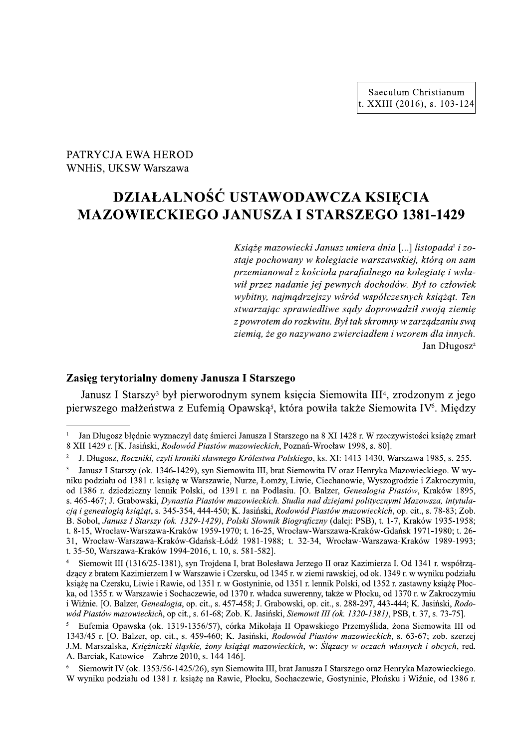# PATRYCJA EWA HEROD WNHiS, UKSW Warszawa

# DZIAŁALNOŚĆ USTAWODAWCZA KSIĘCIA **MAZOWIECKIEGO JANUSZA I STARSZEGO 1381-1429**

Książę mazowiecki Janusz umiera dnia [...] listopada<sup>1</sup> i zostaje pochowany w kolegiacie warszawskiej, którą on sam przemianował z kościoła parafialnego na kolegiatę i wsławił przez nadanie jej pewnych dochodów. Był to człowiek wybitny, najmądrzejszy wśród współczesnych książąt. Ten stwarzając sprawiedliwe sądy doprowadził swoją ziemię z powrotem do rozkwitu. Był tak skromny w zarządzaniu swą ziemią, że go nazywano zwierciadłem i wzorem dla innych. Jan Długosz<sup>2</sup>

# Zasięg terytorialny domeny Janusza I Starszego

Janusz I Starszy<sup>3</sup> był pierworodnym synem księcia Siemowita III<sup>4</sup>, zrodzonym z jego pierwszego małżeństwa z Eufemia Opawską<sup>5</sup>, która powiła także Siemowita IV<sup>6</sup>. Między

Jan Długosz błędnie wyznaczył datę śmierci Janusza I Starszego na 8 XI 1428 r. W rzeczywistości książę zmarł 8 XII 1429 r. [K. Jasiński, Rodowód Piastów mazowieckich, Poznań-Wrocław 1998, s. 80].

 $\overline{2}$ J. Długosz, Roczniki, czyli kroniki sławnego Królestwa Polskiego, ks. XI: 1413-1430, Warszawa 1985, s. 255.

 $\overline{\mathbf{3}}$ Janusz I Starszy (ok. 1346-1429), syn Siemowita III, brat Siemowita IV oraz Henryka Mazowieckiego. W wyniku podziału od 1381 r. książę w Warszawie, Nurze, Łomży, Liwie, Ciechanowie, Wyszogrodzie i Zakroczymiu, od 1386 r. dziedziczny lennik Polski, od 1391 r. na Podlasiu. [O. Balzer, Genealogia Piastów, Kraków 1895, s. 465-467; J. Grabowski, Dynastia Piastów mazowieckich. Studia nad dziejami politycznymi Mazowsza, intytulacją i genealogią książąt, s. 345-354, 444-450; K. Jasiński, Rodowód Piastów mazowieckich, op. cit., s. 78-83; Zob. B. Sobol, Janusz I Starszy (ok. 1329-1429), Polski Słownik Biograficzny (dalej: PSB), t. 1-7, Kraków 1935-1958; t. 8-15. Wrocław-Warszawa-Kraków 1959-1970; t. 16-25. Wrocław-Warszawa-Kraków-Gdańsk 1971-1980; t. 26-31. Wrocław-Warszawa-Kraków-Gdańsk-Łódź 1981-1988: t. 32-34. Wrocław-Warszawa-Kraków 1989-1993: t. 35-50. Warszawa-Kraków 1994-2016, t. 10, s. 581-5821.

Siemowit III (1316/25-1381), syn Trojdena I, brat Bolesława Jerzego II oraz Kazimierza I. Od 1341 r. współrządzący z bratem Kazimierzem I w Warszawie i Czersku, od 1345 r. w ziemi rawskiej, od ok. 1349 r. w wyniku podziału książę na Czersku, Liwie i Rawie, od 1351 r. w Gostyninie, od 1351 r. lennik Polski, od 1352 r. zastawny książę Płocka, od 1355 r. w Warszawie i Sochaczewie, od 1370 r. władca suwerenny, także w Płocku, od 1370 r. w Zakroczymiu i Wiźnie. [O. Balzer, Genealogia, op. cit., s. 457-458; J. Grabowski, op. cit., s. 288-297, 443-444; K. Jasiński, Rodowód Piastów mazowieckich, op cit., s. 61-68; Zob. K. Jasiński, Siemowit III (ok. 1320-1381), PSB, t. 37, s. 73-75].

Eufemia Opawska (ok. 1319-1356/57), córka Mikołaja II Opawskiego Przemyślida, żona Siemowita III od 1343/45 r. [O. Balzer, op. cit., s. 459-460; K. Jasiński, Rodowód Piastów mazowieckich, s. 63-67; zob. szerzej J.M. Marszalska, Księżniczki śląskie, żony książąt mazowieckich, w: Ślązacy w oczach własnych i obcych, red. A. Barciak, Katowice - Zabrze 2010, s. 144-146].

Siemowit IV (ok. 1353/56-1425/26), syn Siemowita III, brat Janusza I Starszego oraz Henryka Mazowieckiego. W wyniku podziału od 1381 r. książę na Rawie, Płocku, Sochaczewie, Gostyninie, Płońsku i Wiźnie, od 1386 r.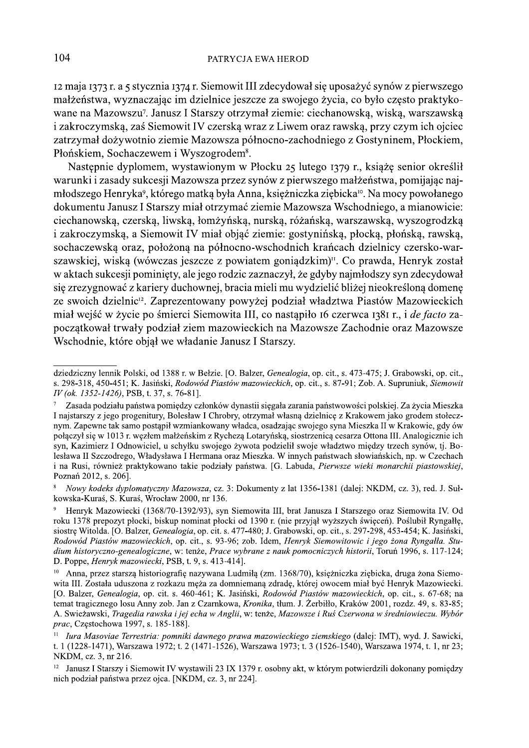12 maja 1373 r. a 5 stycznia 1374 r. Siemowit III zdecydował się uposażyć synów z pierwszego małżeństwa, wyznaczając im dzielnice jeszcze za swojego życia, co było często praktykowane na Mazowszu<sup>7</sup>. Janusz I Starszy otrzymał ziemie: ciechanowską, wiską, warszawską i zakroczymską, zaś Siemowit IV czerską wraz z Liwem oraz rawską, przy czym ich ojciec zatrzymał dożywotnio ziemie Mazowsza północno-zachodniego z Gostyninem, Płockiem, Płońskiem, Sochaczewem i Wyszogrodem<sup>8</sup>.

Następnie dyplomem, wystawionym w Płocku 25 lutego 1379 r., książę senior określił warunki i zasady sukcesji Mazowsza przez synów z pierwszego małżeństwa, pomijając najmłodszego Henryka<sup>9</sup>, którego matką była Anna, księżniczka ziębicka<sup>10</sup>. Na mocy powołanego dokumentu Janusz I Starszy miał otrzymać ziemie Mazowsza Wschodniego, a mianowicie: ciechanowską, czerską, liwską, łomżyńską, nurską, różańską, warszawską, wyszogrodzką i zakroczymską, a Siemowit IV miał objąć ziemie: gostynińską, płocką, płońską, rawską, sochaczewską oraz, położoną na północno-wschodnich krańcach dzielnicy czersko-warszawskiej, wiską (wówczas jeszcze z powiatem goniądzkim)<sup>n</sup>. Co prawda, Henryk został w aktach sukcesji pominięty, ale jego rodzic zaznaczył, że gdyby najmłodszy syn zdecydował się zrezygnować z kariery duchownej, bracia mieli mu wydzielić bliżej nieokreśloną domenę ze swoich dzielnic<sup>12</sup>. Zaprezentowany powyżej podział władztwa Piastów Mazowieckich miał wejść w życie po śmierci Siemowita III, co nastąpiło 16 czerwca 1381 r., i de facto zapoczątkował trwały podział ziem mazowieckich na Mazowsze Zachodnie oraz Mazowsze Wschodnie, które objął we władanie Janusz I Starszy.

dziedziczny lennik Polski, od 1388 r. w Bełzie. [O. Balzer, Genealogia, op. cit., s. 473-475; J. Grabowski, op. cit., s. 298-318, 450-451; K. Jasiński, Rodowód Piastów mazowieckich, op. cit., s. 87-91; Zob. A. Supruniuk, Siemowit IV (ok. 1352-1426), PSB, t. 37, s. 76-81].

Zasada podziału państwa pomiędzy członków dynastii sięgała zarania państwowości polskiej. Za życia Mieszka I najstarszy z jego progenitury, Bolesław I Chrobry, otrzymał własną dzielnicę z Krakowem jako grodem stołecznym. Zapewne tak samo postąpił wzmiankowany władca, osadzając swojego syna Mieszka II w Krakowie, gdy ów połączył się w 1013 r. węzłem małżeńskim z Rychezą Lotaryńską, siostrzenicą cesarza Ottona III. Analogicznie ich syn, Kazimierz I Odnowiciel, u schyłku swojego żywota podzielił swoje władztwo między trzech synów, tj. Bolesława II Szczodrego, Władysława I Hermana oraz Mieszka. W innych państwach słowiańskich, np. w Czechach i na Rusi, również praktykowano takie podziały państwa. [G. Labuda, Pierwsze wieki monarchii piastowskiej, Poznań 2012, s. 206].

Nowy kodeks dyplomatyczny Mazowsza, cz. 3: Dokumenty z lat 1356-1381 (dalej: NKDM, cz. 3), red. J. Sułkowska-Kuraś, S. Kuraś, Wrocław 2000, nr 136.

Henryk Mazowiecki (1368/70-1392/93), syn Siemowita III, brat Janusza I Starszego oraz Siemowita IV. Od roku 1378 prepozyt płocki, biskup nominat płocki od 1390 r. (nie przyjał wyższych świeceń). Poślubił Ryngałłe, siostre Witolda. [O. Balzer, *Genealogia*, op. cit. s. 477-480; J. Grabowski, op. cit., s. 297-298, 453-454; K. Jasiński, Rodowód Piastów mazowieckich, op. cit., s. 93-96; zob. Idem, Henryk Siemowitowic i jego żona Ryngałła. Studium historyczno-genealogiczne, w: tenże, Prace wybrane z nauk pomocniczych historii, Toruń 1996, s. 117-124; D. Poppe, Henryk mazowiecki, PSB, t. 9, s. 413-414].

 $10<sup>-10</sup>$ Anna, przez starszą historiografie nazywana Ludmiła (zm. 1368/70), ksieżniczka ziebicka, druga żona Siemowita III. Została uduszona z rozkazu męża za domniemaną zdradę, której owocem miał być Henryk Mazowiecki. [O. Balzer, Genealogia, op. cit. s. 460-461; K. Jasiński, Rodowód Piastów mazowieckich, op. cit., s. 67-68; na temat tragicznego losu Anny zob. Jan z Czarnkowa, Kronika, tłum. J. Żerbiłło, Kraków 2001, rozdz. 49, s. 83-85; A. Swieżawski, Tragedia rawska i jej echa w Anglii, w: tenże, Mazowsze i Ruś Czerwona w średniowieczu. Wybór prac, Częstochowa 1997, s. 185-1881.

Iura Masoviae Terrestria: pomniki dawnego prawa mazowieckiego ziemskiego (dalej: IMT), wyd. J. Sawicki, t. 1 (1228-1471), Warszawa 1972; t. 2 (1471-1526), Warszawa 1973; t. 3 (1526-1540), Warszawa 1974, t. 1, nr 23; NKDM, cz. 3, nr 216.

 $^{12}$  Janusz I Starszy i Siemowit IV wystawili 23 IX 1379 r. osobny akt, w którym potwierdzili dokonany pomiedzy nich podział państwa przez ojca. [NKDM, cz. 3, nr 224].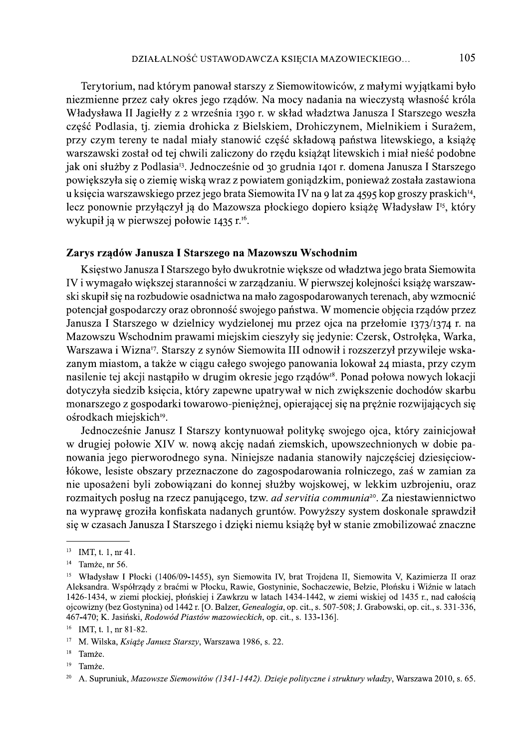Terytorium, nad którym panował starszy z Siemowitowiców, z małymi wyjątkami było niezmienne przez cały okres jego rządów. Na mocy nadania na wieczystą własność króla Władysława II Jagiełły z 2 września 1390 r. w skład władztwa Janusza I Starszego weszła część Podlasia, tj. ziemia drohicka z Bielskiem, Drohiczynem, Mielnikiem i Surażem, przy czym tereny te nadal miały stanowić część składową państwa litewskiego, a książę warszawski został od tej chwili zaliczony do rzędu książąt litewskich i miał nieść podobne jak oni służby z Podlasia<sup>13</sup>. Jednocześnie od 30 grudnia 1401 r. domena Janusza I Starszego powiekszyła się o ziemię wiską wraz z powiatem goniądzkim, ponieważ została zastawiona u księcia warszawskiego przez jego brata Siemowita IV na 9 lat za 4595 kop groszy praskich<sup>14</sup>, lecz ponownie przyłączył ją do Mazowsza płockiego dopiero książę Władysław I<sup>15</sup>, który wykupił ją w pierwszej połowie 1435 r.<sup>16</sup>.

### Zarys rządów Janusza I Starszego na Mazowszu Wschodnim

Księstwo Janusza I Starszego było dwukrotnie większe od władztwa jego brata Siemowita IV i wymagało większej staranności w zarządzaniu. W pierwszej kolejności książę warszawski skupił się na rozbudowie osadnictwa na mało zagospodarowanych terenach, aby wzmocnić potencjał gospodarczy oraz obronność swojego państwa. W momencie objęcia rządów przez Janusza I Starszego w dzielnicy wydzielonej mu przez ojca na przełomie 1373/1374 r. na Mazowszu Wschodnim prawami miejskim cieszyły się jedynie: Czersk, Ostrołęka, Warka, Warszawa i Wizna<sup>17</sup>. Starszy z synów Siemowita III odnowił i rozszerzył przywileje wskazanym miastom, a także w ciągu całego swojego panowania lokował 24 miasta, przy czym nasilenie tej akcji nastąpiło w drugim okresie jego rządów<sup>18</sup>. Ponad połowa nowych lokacji dotyczyła siedzib księcia, który zapewne upatrywał w nich zwiększenie dochodów skarbu monarszego z gospodarki towarowo-pieniężnej, opierającej się na prężnie rozwijających się ośrodkach miejskich<sup>19</sup>.

Jednocześnie Janusz I Starszy kontynuował politykę swojego ojca, który zainicjował w drugiej połowie XIV w. nową akcję nadań ziemskich, upowszechnionych w dobie panowania jego pierworodnego syna. Niniejsze nadania stanowiły najczęściej dziesięciowłókowe, lesiste obszary przeznaczone do zagospodarowania rolniczego, zaś w zamian za nie uposażeni byli zobowiązani do konnej służby wojskowej, w lekkim uzbrojeniu, oraz rozmaitych posług na rzecz panującego, tzw. ad servitia communia<sup>20</sup>. Za niestawiennictwo na wyprawę groziła konfiskata nadanych gruntów. Powyższy system doskonale sprawdził się w czasach Janusza I Starszego i dzięki niemu książę był w stanie zmobilizować znaczne

<sup>&</sup>lt;sup>13</sup> IMT, t. 1, nr 41.

 $14$ Tamże, nr 56.

<sup>&</sup>lt;sup>15</sup> Władysław I Płocki (1406/09-1455), syn Siemowita IV, brat Trojdena II, Siemowita V, Kazimierza II oraz Aleksandra. Współrządy z braćmi w Płocku, Rawie, Gostyninie, Sochaczewie, Bełzie, Płońsku i Wiźnie w latach 1426-1434, w ziemi płockiej, płońskiej i Zawkrzu w latach 1434-1442, w ziemi wiskiej od 1435 r., nad całością ojcowizny (bez Gostynina) od 1442 r. [O. Balzer, Genealogia, op. cit., s. 507-508; J. Grabowski, op. cit., s. 331-336, 467-470; K. Jasiński, Rodowód Piastów mazowieckich, op. cit., s. 133-136].

<sup>&</sup>lt;sup>16</sup> IMT, t. 1, nr 81-82.

<sup>&</sup>lt;sup>17</sup> M. Wilska, Książę Janusz Starszy, Warszawa 1986, s. 22.

<sup>18</sup> Tamże.

<sup>19</sup> Tamże.

<sup>20</sup> A. Supruniuk, Mazowsze Siemowitów (1341-1442). Dzieje polityczne i struktury władzy, Warszawa 2010, s. 65.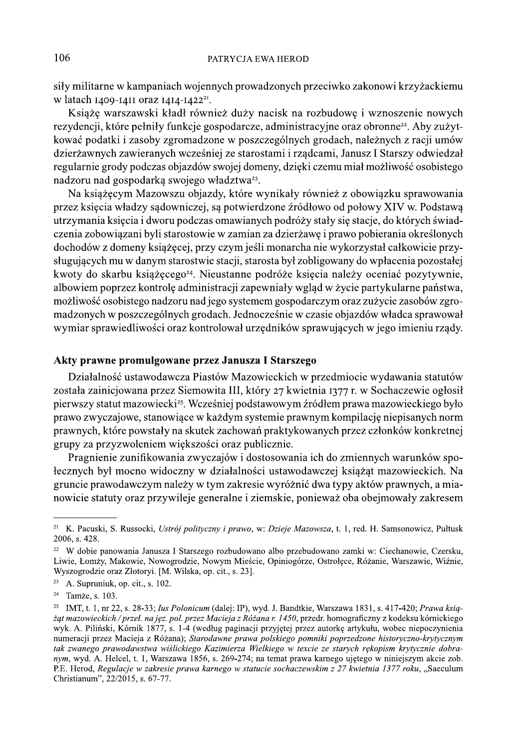siły militarne w kampaniach wojennych prowadzonych przeciwko zakonowi krzyżackiemu w latach 1409-1411 oraz 1414-1422<sup>21</sup>.

Książę warszawski kładł również duży nacisk na rozbudowe i wznoszenie nowych rezydencji, które pełniły funkcje gospodarcze, administracyjne oraz obronne<sup>22</sup>. Aby zużytkować podatki i zasoby zgromadzone w poszczególnych grodach, należnych z racji umów dzierżawnych zawieranych wcześniej ze starostami i rządcami, Janusz I Starszy odwiedzał regularnie grody podczas objazdów swojej domeny, dzięki czemu miał możliwość osobistego nadzoru nad gospodarką swojego władztwa<sup>23</sup>.

Na książęcym Mazowszu objazdy, które wynikały również z obowiązku sprawowania przez księcia władzy sądowniczej, są potwierdzone źródłowo od połowy XIV w. Podstawą utrzymania księcia i dworu podczas omawianych podróży stały się stacje, do których świadczenia zobowiązani byli starostowie w zamian za dzierżawę i prawo pobierania określonych dochodów z domeny książęcej, przy czym jeśli monarcha nie wykorzystał całkowicie przysługujących mu w danym starostwie stacji, starosta był zobligowany do wpłacenia pozostałej kwoty do skarbu książęcego<sup>24</sup>. Nieustanne podróże księcia należy oceniać pozytywnie, albowiem poprzez kontrolę administracji zapewniały wgląd w życie partykularne państwa, możliwość osobistego nadzoru nad jego systemem gospodarczym oraz zużycie zasobów zgromadzonych w poszczególnych grodach. Jednocześnie w czasie objazdów władca sprawował wymiar sprawiedliwości oraz kontrolował urzędników sprawujących w jego imieniu rządy.

# Akty prawne promulgowane przez Janusza I Starszego

Działalność ustawodawcza Piastów Mazowieckich w przedmiocie wydawania statutów została zainicjowana przez Siemowita III, który 27 kwietnia 1377 r. w Sochaczewie ogłosił pierwszy statut mazowiecki<sup>25</sup>. Wcześniej podstawowym źródłem prawa mazowieckiego było prawo zwyczajowe, stanowiące w każdym systemie prawnym kompilację niepisanych norm prawnych, które powstały na skutek zachowań praktykowanych przez członków konkretnej grupy za przyzwoleniem większości oraz publicznie.

Pragnienie zunifikowania zwyczajów i dostosowania ich do zmiennych warunków społecznych był mocno widoczny w działalności ustawodawczej książąt mazowieckich. Na gruncie prawodawczym należy w tym zakresie wyróżnić dwa typy aktów prawnych, a mianowicie statuty oraz przywileje generalne i ziemskie, ponieważ oba obejmowały zakresem

<sup>&</sup>lt;sup>21</sup> K. Pacuski, S. Russocki, Ustrój polityczny i prawo, w: Dzieje Mazowsza, t. 1, red. H. Samsonowicz, Pułtusk 2006, s. 428.

<sup>&</sup>lt;sup>22</sup> W dobie panowania Janusza I Starszego rozbudowano albo przebudowano zamki w: Ciechanowie, Czersku, Liwie, Łomży, Makowie, Nowogrodzie, Nowym Mieście, Opiniogórze, Ostrołęce, Różanie, Warszawie, Wiźnie, Wyszogrodzie oraz Złotoryi. [M. Wilska, op. cit., s. 23].

<sup>&</sup>lt;sup>23</sup> A. Supruniuk, op. cit., s. 102.

<sup>&</sup>lt;sup>24</sup> Tamże, s. 103.

<sup>&</sup>lt;sup>25</sup> IMT, t. 1, nr 22, s. 28-33; Ius Polonicum (dalej: IP), wyd. J. Bandtkie, Warszawa 1831, s. 417-420; Prawa książat mazowieckich / przeł. na jez. pol. przez Macieja z Różana r. 1450. przedr. homograficzny z kodeksu kórnickiego wyk. A. Piliński, Kórnik 1877, s. 1-4 (według paginacji przyjętej przez autorkę artykułu, wobec niepoczynienia numeracji przez Macieja z Różana); Starodawne prawa polskiego pomniki poprzedzone historyczno-krytycznym tak zwanego prawodawstwa wiślickiego Kazimierza Wielkiego w texcie ze starych rekopism krytycznie dobranym, wyd. A. Helcel, t. 1, Warszawa 1856, s. 269-274; na temat prawa karnego ujętego w niniejszym akcie zob. P.E. Herod, Regulacje w zakresie prawa karnego w statucie sochaczewskim z 27 kwietnia 1377 roku, "Saeculum Christianum", 22/2015, s. 67-77.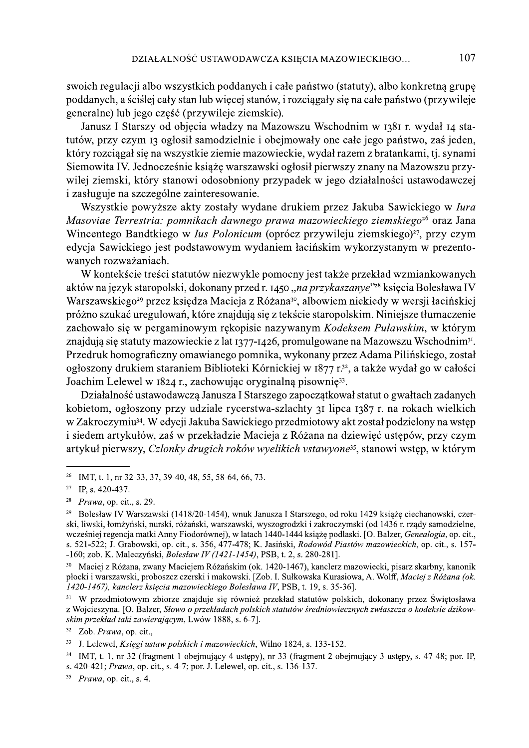swoich regulacji albo wszystkich poddanych i całe państwo (statuty), albo konkretną grupę poddanych, a ściślej cały stan lub więcej stanów, i rozciągały się na całe państwo (przywileje generalne) lub jego część (przywileje ziemskie).

Janusz I Starszy od objęcia władzy na Mazowszu Wschodnim w 1381 r. wydał 14 statutów, przy czym 13 ogłosił samodzielnie i obejmowały one całe jego państwo, zaś jeden, który rozciągał się na wszystkie ziemie mazowieckie, wydał razem z bratankami, tj. synami Siemowita IV. Jednocześnie książę warszawski ogłosił pierwszy znany na Mazowszu przywilej ziemski, który stanowi odosobniony przypadek w jego działalności ustawodawczej i zasługuje na szczególne zainteresowanie.

Wszystkie powyższe akty zostały wydane drukiem przez Jakuba Sawickiego w *Iura* Masoviae Terrestria: pomnikach dawnego prawa mazowieckiego ziemskiego<sup>26</sup> oraz Jana Wincentego Bandtkiego w *lus Polonicum* (oprócz przywileju ziemskiego)<sup>27</sup>, przy czym edycja Sawickiego jest podstawowym wydaniem łacińskim wykorzystanym w prezentowanych rozważaniach.

W kontekście treści statutów niezwykle pomocny jest także przekład wzmiankowanych aktów na język staropolski, dokonany przed r. 1450, na przykaszanye"<sup>28</sup> księcia Bolesława IV Warszawskiego<sup>29</sup> przez księdza Macieja z Różana<sup>30</sup>, albowiem niekiedy w wersji łacińskiej próżno szukać uregulowań, które znajdują się z tekście staropolskim. Niniejsze tłumaczenie zachowało się w pergaminowym rękopisie nazywanym Kodeksem Puławskim, w którym znajdują się statuty mazowieckie z lat 1377-1426, promulgowane na Mazowszu Wschodnim<sup>31</sup>. Przedruk homograficzny omawianego pomnika, wykonany przez Adama Pilińskiego, został ogłoszony drukiem staraniem Biblioteki Kórnickiej w 1877 r.<sup>32</sup>, a także wydał go w całości Joachim Lelewel w 1824 r., zachowując oryginalną pisownię<sup>33</sup>.

Działalność ustawodawczą Janusza I Starszego zapoczątkował statut o gwałtach zadanych kobietom, ogłoszony przy udziale rycerstwa-szlachty 31 lipca 1387 r. na rokach wielkich w Zakroczymiu<sup>34</sup>. W edycji Jakuba Sawickiego przedmiotowy akt został podzielony na wstęp i siedem artykułów, zaś w przekładzie Macieja z Różana na dziewieć ustępów, przy czym artykuł pierwszy, Czlonky drugich roków wyelikich vstawyone<sup>35</sup>, stanowi wstęp, w którym

<sup>&</sup>lt;sup>26</sup> IMT, t. 1, nr 32-33, 37, 39-40, 48, 55, 58-64, 66, 73.

<sup>&</sup>lt;sup>27</sup> IP, s. 420-437.

<sup>&</sup>lt;sup>28</sup> *Prawa*, op. cit., s. 29.

<sup>&</sup>lt;sup>29</sup> Bolesław IV Warszawski (1418/20-1454), wnuk Janusza I Starszego, od roku 1429 książe ciechanowski, czerski, liwski, łomżyński, nurski, różański, warszawski, wyszogrodzki i zakroczymski (od 1436 r. rzady samodzielne, wcześniej regencja matki Anny Fiodorównej), w latach 1440-1444 książę podlaski. [O. Balzer, Genealogia, op. cit., s. 521-522; J. Grabowski, op. cit., s. 356, 477-478; K. Jasiński, Rodowód Piastów mazowieckich, op. cit., s. 157--160; zob. K. Maleczyński, Bolesław IV (1421-1454), PSB, t. 2, s. 280-281].

Maciej z Różana, zwany Maciejem Różańskim (ok. 1420-1467), kanclerz mazowiecki, pisarz skarbny, kanonik płocki i warszawski, proboszcz czerski i makowski. [Zob. I. Sułkowska Kurasiowa, A. Wolff, Maciej z Różana (ok. 1420-1467), kanclerz księcia mazowieckiego Bolesława IV, PSB, t. 19, s. 35-36].

<sup>&</sup>lt;sup>31</sup> W przedmiotowym zbiorze znajduje się również przekład statutów polskich, dokonany przez Świętosława z Wojcieszyna. [O. Balzer, Słowo o przekładach polskich statutów średniowiecznych zwłaszcza o kodeksie dzikowskim przekład taki zawierającym, Lwów 1888, s. 6-7].

 $32$ Zob. Prawa, op. cit.,

<sup>33</sup> J. Lelewel, Księgi ustaw polskich i mazowieckich, Wilno 1824, s. 133-152.

<sup>&</sup>lt;sup>34</sup> IMT, t. 1, nr 32 (fragment 1 obejmujący 4 ustępy), nr 33 (fragment 2 obejmujący 3 ustępy, s. 47-48; por. IP, s. 420-421; Prawa, op. cit., s. 4-7; por. J. Lelewel, op. cit., s. 136-137.

 $35$  *Prawa*, op. cit., s. 4.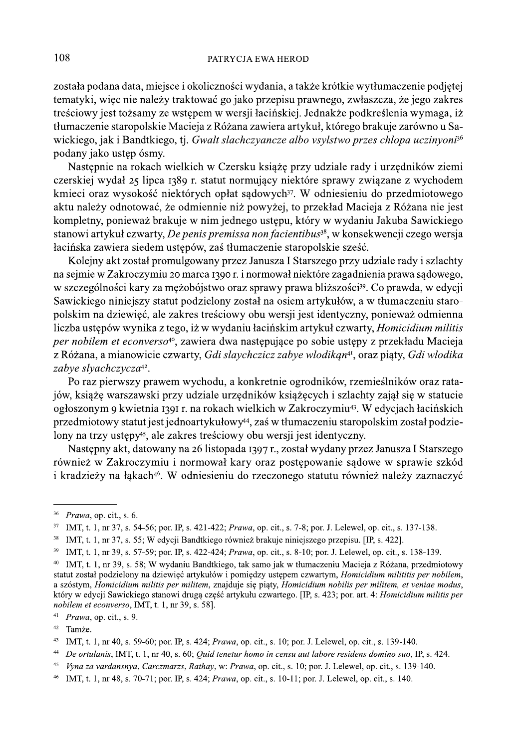została podana data, miejsce i okoliczności wydania, a także krótkie wytłumaczenie podjętej tematyki, więc nie należy traktować go jako przepisu prawnego, zwłaszcza, że jego zakres treściowy jest tożsamy ze wstępem w wersji łacińskiej. Jednakże podkreślenia wymaga, iż tłumaczenie staropolskie Macieja z Różana zawiera artykuł, którego brakuje zarówno u Sawickiego, jak i Bandtkiego, tj. Gwalt slachczyancze albo vsylstwo przes chlopa uczinyoni<sup>36</sup> podany jako ustep ósmy.

Następnie na rokach wielkich w Czersku książę przy udziale rady i urzędników ziemi czerskiej wydał 25 lipca 1389 r. statut normujący niektóre sprawy związane z wychodem kmieci oraz wysokość niektórych opłat sądowych<sup>37</sup>. W odniesieniu do przedmiotowego aktu należy odnotować, że odmiennie niż powyżej, to przekład Macieja z Różana nie jest kompletny, ponieważ brakuje w nim jednego ustępu, który w wydaniu Jakuba Sawickiego stanowi artykuł czwarty, De penis premissa non facientibus<sup>38</sup>, w konsekwencji czego wersja łacińska zawiera siedem ustępów, zaś tłumaczenie staropolskie sześć.

Kolejny akt został promulgowany przez Janusza I Starszego przy udziale rady i szlachty na sejmie w Zakroczymiu 20 marca 1390 r. i normował niektóre zagadnienia prawa sądowego, w szczególności kary za mężobójstwo oraz sprawy prawa bliższości<sup>39</sup>. Co prawda, w edycji Sawickiego niniejszy statut podzielony został na osiem artykułów, a w tłumaczeniu staropolskim na dziewięć, ale zakres treściowy obu wersji jest identyczny, ponieważ odmienna liczba ustępów wynika z tego, iż w wydaniu łacińskim artykuł czwarty, Homicidium militis per nobilem et econverso<sup>40</sup>, zawiera dwa następujące po sobie ustępy z przekładu Macieja z Różana, a mianowicie czwarty, Gdi slaychczicz zabye włodikan<sup>41</sup>, oraz piąty, Gdi włodika zabye slyachczycza<sup>42</sup>.

Po raz pierwszy prawem wychodu, a konkretnie ogrodników, rzemieślników oraz ratajów, książę warszawski przy udziale urzędników książęcych i szlachty zajął się w statucie ogłoszonym 9 kwietnia 1391 r. na rokach wielkich w Zakroczymiu<sup>43</sup>. W edycjach łacińskich przedmiotowy statut jest jednoartykułowy<sup>44</sup>, zaś w tłumaczeniu staropolskim został podzielony na trzy ustępy<sup>45</sup>, ale zakres treściowy obu wersji jest identyczny.

Następny akt, datowany na 26 listopada 1397 r., został wydany przez Janusza I Starszego również w Zakroczymiu i normował kary oraz postępowanie sądowe w sprawie szkód i kradzieży na łąkach<sup>46</sup>. W odniesieniu do rzeczonego statutu również należy zaznaczyć

<sup>&</sup>lt;sup>36</sup> Prawa, op. cit., s. 6.

<sup>&</sup>lt;sup>37</sup> IMT, t. 1, nr 37, s. 54-56; por. IP, s. 421-422; *Prawa*, op. cit., s. 7-8; por. J. Lelewel, op. cit., s. 137-138.

<sup>&</sup>lt;sup>38</sup> IMT, t. 1, nr 37, s. 55; W edycji Bandtkiego również brakuje niniejszego przepisu. [IP, s. 422].

<sup>&</sup>lt;sup>39</sup> IMT, t. 1, nr 39, s. 57-59; por. IP, s. 422-424; *Prawa*, op. cit., s. 8-10; por. J. Lelewel, op. cit., s. 138-139.

<sup>40</sup> IMT, t. 1, nr 39, s. 58; W wydaniu Bandtkiego, tak samo jak w tłumaczeniu Macieja z Różana, przedmiotowy statut został podzielony na dziewięć artykułów i pomiędzy ustępem czwartym, Homicidium milititis per nobilem, a szóstym, Homicidium militis per militem, znajduje się piąty, Homicidium nobilis per militem, et veniae modus, który w edycji Sawickiego stanowi drugą część artykułu czwartego. [IP, s. 423; por. art. 4: Homicidium militis per nobilem et econverso, IMT, t. 1, nr 39, s. 58].

 $41$  *Prawa*, op. cit., s. 9.

<sup>&</sup>lt;sup>42</sup> Tamże.

<sup>43</sup> IMT, t. 1, nr 40, s. 59-60; por. IP, s. 424; *Prawa*, op. cit., s. 10; por. J. Lelewel, op. cit., s. 139-140.

 $\bf 44$ De ortulanis, IMT, t. 1, nr 40, s. 60; Quid tenetur homo in censu aut labore residens domino suo, IP, s. 424.

<sup>45</sup> Vyna za vardansnya, Carczmarzs, Rathay, w: Prawa, op. cit., s. 10; por. J. Lelewel, op. cit., s. 139-140.

 $\bf 46$ IMT, t. 1, nr 48, s. 70-71; por. IP, s. 424; *Prawa*, op. cit., s. 10-11; por. J. Lelewel, op. cit., s. 140.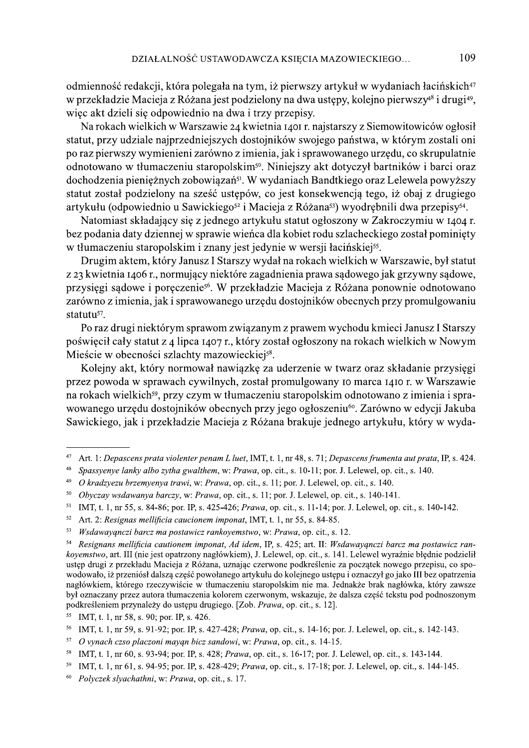odmienność redakcji, która polegała na tym, iż pierwszy artykuł w wydaniach łacińskich<sup>47</sup> w przekładzie Macieja z Różana jest podzielony na dwa ustępy, kolejno pierwszy<sup>48</sup> i drugi<sup>49</sup>, wiec akt dzieli się odpowiednio na dwa i trzy przepisy.

Na rokach wielkich w Warszawie 24 kwietnia 1401 r. najstarszy z Siemowitowiców ogłosił statut, przy udziale najprzedniejszych dostojników swojego państwa, w którym zostali oni po raz pierwszy wymienieni zarówno z imienia, jak i sprawowanego urzędu, co skrupulatnie odnotowano w tłumaczeniu staropolskim<sup>50</sup>. Niniejszy akt dotyczył bartników i barci oraz dochodzenia pienieżnych zobowiązań<sup>51</sup>. W wydaniach Bandtkiego oraz Lelewela powyższy statut został podzielony na sześć ustępów, co jest konsekwencją tego, iż obaj z drugiego artykułu (odpowiednio u Sawickiego<sup>52</sup> i Macieja z Różana<sup>53</sup>) wyodrębnili dwa przepisy<sup>54</sup>.

Natomiast składający się z jednego artykułu statut ogłoszony w Zakroczymiu w 1404 r. bez podania daty dziennej w sprawie wieńca dla kobiet rodu szlacheckiego został pominięty w tłumaczeniu staropolskim i znany jest jedynie w wersji łacińskiej<sup>55</sup>.

Drugim aktem, który Janusz I Starszy wydał na rokach wielkich w Warszawie, był statut z 23 kwietnia 1406 r., normujący niektóre zagadnienia prawa sądowego jak grzywny sądowe, przysięgi sądowe i poręczenie<sup>56</sup>. W przekładzie Macieja z Różana ponownie odnotowano zarówno z imienia, jak i sprawowanego urzędu dostojników obecnych przy promulgowaniu statutu<sup>57</sup>.

Po raz drugi niektórym sprawom związanym z prawem wychodu kmieci Janusz I Starszy poświęcił cały statut z 4 lipca 1407 r., który został ogłoszony na rokach wielkich w Nowym Mieście w obecności szlachty mazowieckiej<sup>58</sup>.

Kolejny akt, który normował nawiązkę za uderzenie w twarz oraz składanie przysięgi przez powoda w sprawach cywilnych, został promulgowany 10 marca 1410 r. w Warszawie na rokach wielkich<sup>59</sup>, przy czym w tłumaczeniu staropolskim odnotowano z imienia i sprawowanego urzędu dostojników obecnych przy jego ogłoszeniu<sup>60</sup>. Zarówno w edycji Jakuba Sawickiego, jak i przekładzie Macieja z Różana brakuje jednego artykułu, który w wyda-

 $47\,$ Art. 1: Depascens prata violenter penam L luet, IMT, t. 1, nr 48, s. 71; Depascens frumenta aut prata, IP, s. 424.

<sup>48</sup> Spassyenye lanky albo zytha gwalthem, w: Prawa, op. cit., s. 10-11; por. J. Lelewel, op. cit., s. 140.

<sup>49</sup> O kradzyezu brzemyenya trawi, w: Prawa, op. cit., s. 11; por. J. Lelewel, op. cit., s. 140.

<sup>&</sup>lt;sup>50</sup> Obyczay wsdawanya barczy, w: Prawa, op. cit., s. 11; por. J. Lelewel, op. cit., s. 140-141.

<sup>&</sup>lt;sup>51</sup> IMT, t. 1, nr 55, s. 84-86; por. IP, s. 425-426; Prawa, op. cit., s. 11-14; por. J. Lelewel, op. cit., s. 140-142.

<sup>&</sup>lt;sup>52</sup> Art. 2: Resignas mellificia caucionem imponat, IMT, t. 1, nr 55, s. 84-85.

 $53\,$ Wsdawayanczi barcz ma postawicz rankoyemstwo, w: Prawa, op. cit., s. 12.

 $54\,$ Resignans mellificia cautionem imponat, Ad idem, IP, s. 425; art. II: Wsdawayanczi barcz ma postawicz rankoyemstwo, art. III (nie jest opatrzony nagłówkiem), J. Lelewel, op. cit., s. 141. Lelewel wyraźnie błędnie podzielił ustęp drugi z przekładu Macieja z Różana, uznając czerwone podkreślenie za początek nowego przepisu, co spowodowało, iż przeniósł dalszą część powołanego artykułu do kolejnego ustępu i oznaczył go jako III bez opatrzenia nagłówkiem, którego rzeczywiście w tłumaczeniu staropolskim nie ma. Jednakże brak nagłówka, który zawsze był oznaczany przez autora tłumaczenia kolorem czerwonym, wskazuje, że dalsza część tekstu pod podnoszonym podkreśleniem przynależy do ustępu drugiego. [Zob. Prawa, op. cit., s. 12].

<sup>55</sup> IMT, t. 1, nr 58, s. 90; por. IP, s. 426.

<sup>&</sup>lt;sup>56</sup> IMT, t. 1, nr 59, s. 91-92; por. IP, s. 427-428; *Prawa*, op. cit., s. 14-16; por. J. Lelewel, op. cit., s. 142-143.

<sup>&</sup>lt;sup>57</sup> O vynach czso placzoni mayąn bicz sandowi, w: Prawa, op. cit., s. 14-15.

<sup>&</sup>lt;sup>58</sup> IMT, t. 1, nr 60, s. 93-94; por. IP, s. 428; *Prawa*, op. cit., s. 16-17; por. J. Lelewel, op. cit., s. 143-144.

<sup>&</sup>lt;sup>59</sup> IMT, t. 1, nr 61, s. 94-95; por. IP, s. 428-429; *Prawa*, op. cit., s. 17-18; por. J. Lelewel, op. cit., s. 144-145.

<sup>&</sup>lt;sup>60</sup> Polyczek slyachathni, w: Prawa, op. cit., s. 17.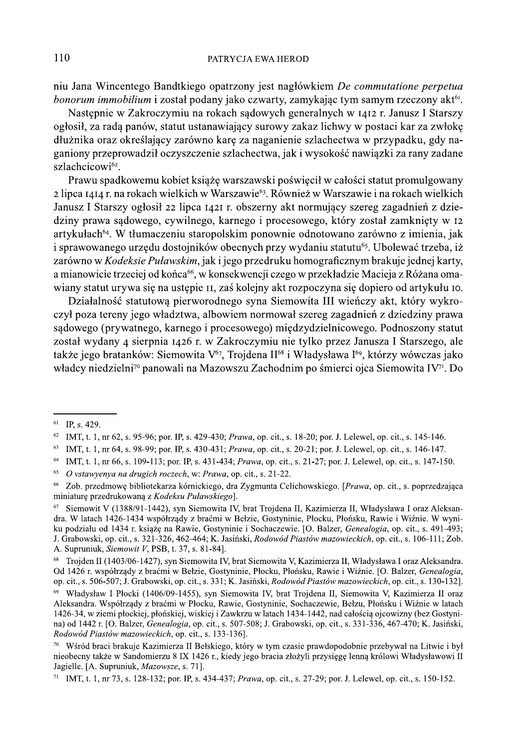niu Jana Wincentego Bandtkiego opatrzony jest nagłówkiem De commutatione perpetua bonorum immobilium i został podany jako czwarty, zamykając tym samym rzeczony akt<sup>61</sup>.

Nastepnie w Zakroczymiu na rokach sądowych generalnych w 1412 r. Janusz I Starszy ogłosił, za radą panów, statut ustanawiający surowy zakaz lichwy w postaci kar za zwłokę dłużnika oraz określający zarówno karę za naganienie szlachectwa w przypadku, gdy naganiony przeprowadził oczyszczenie szlachectwa, jak i wysokość nawiązki za rany zadane szlachcicowi62.

Prawu spadkowemu kobiet książę warszawski poświęcił w całości statut promulgowany 2 lipca 1414 r. na rokach wielkich w Warszawie<sup>63</sup>. Również w Warszawie i na rokach wielkich Janusz I Starszy ogłosił 22 lipca 1421 r. obszerny akt normujący szereg zagadnień z dziedziny prawa sądowego, cywilnego, karnego i procesowego, który został zamknięty w 12 artykułach<sup>64</sup>. W tłumaczeniu staropolskim ponownie odnotowano zarówno z imienia, jak i sprawowanego urzędu dostojników obecnych przy wydaniu statutu<sup>65</sup>. Ubolewać trzeba, iż zarówno w Kodeksie Puławskim, jak i jego przedruku homograficznym brakuje jednej karty, a mianowicie trzeciej od końca<sup>66</sup>, w konsekwencji czego w przekładzie Macieja z Różana omawiany statut urywa się na ustępie II, zaś kolejny akt rozpoczyna się dopiero od artykułu IO.

Działalność statutową pierworodnego syna Siemowita III wieńczy akt, który wykroczył poza tereny jego władztwa, albowiem normował szereg zagadnień z dziedziny prawa sądowego (prywatnego, karnego i procesowego) międzydzielnicowego. Podnoszony statut został wydany 4 sierpnia 1426 r. w Zakroczymiu nie tylko przez Janusza I Starszego, ale także jego bratanków: Siemowita V<sup>67</sup>, Trojdena II<sup>68</sup> i Władysława I<sup>69</sup>, którzy wówczas jako władcy niedzielni<sup>70</sup> panowali na Mazowszu Zachodnim po śmierci ojca Siemowita IV<sup>71</sup>. Do

<sup>63</sup> IMT, t. 1, nr 64, s. 98-99; por. IP, s. 430-431; *Prawa*, op. cit., s. 20-21; por. J. Lelewel, op. cit., s. 146-147.

 $61$  IP, s, 429.

<sup>62</sup> IMT, t. 1, nr 62, s. 95-96; por. IP, s. 429-430; Prawa, op. cit., s. 18-20; por. J. Lelewel, op. cit., s. 145-146.

<sup>&</sup>lt;sup>64</sup> IMT, t. 1, nr 66, s. 109-113; por. IP, s. 431-434; *Prawa*, op. cit., s. 21-27; por. J. Lelewel, op. cit., s. 147-150.

<sup>&</sup>lt;sup>65</sup> O vstawyenya na drugich roczech, w: Prawa, op. cit., s. 21-22.

<sup>&</sup>lt;sup>66</sup> Zob. przedmowe bibliotekarza kórnickiego, dra Zygmunta Celichowskiego. [*Prawa*, op. cit., s. poprzedzająca miniature przedrukowana z Kodeksu Puławskiego.

Siemowit V (1388/91-1442), syn Siemowita IV, brat Trojdena II, Kazimierza II, Władysława I oraz Aleksan-67 dra. W latach 1426-1434 współrządy z braćmi w Bełzie, Gostyninie, Płocku, Płońsku, Rawie i Wiźnie. W wyniku podziału od 1434 r. książe na Rawie, Gostyninie i Sochaczewie. [O. Balzer, Genealogia, op. cit., s. 491-493; J. Grabowski, op. cit., s. 321-326, 462-464; K. Jasiński, Rodowód Piastów mazowieckich, op. cit., s. 106-111; Zob. A. Supruniuk, Siemowit V, PSB, t. 37, s. 81-84].

<sup>&</sup>lt;sup>68</sup> Troiden II (1403/06-1427), syn Siemowita IV, brat Siemowita V, Kazimierza II, Władysława I oraz Aleksandra. Od 1426 r. współrzady z braćmi w Bełzie, Gostyninie, Płocku, Płońsku, Rawie i Wiźnie, JO, Balzer, Genealogia, op. cit., s. 506-507; J. Grabowski, op. cit., s. 331; K. Jasiński, Rodowód Piastów mazowieckich, op. cit., s. 130-132].

<sup>69</sup> Władysław I Płocki (1406/09-1455), syn Siemowita IV, brat Troidena II, Siemowita V, Kazimierza II oraz Aleksandra. Współrządy z braćmi w Płocku, Rawie, Gostyninie, Sochaczewie, Bełzu, Płońsku i Wiźnie w latach 1426-34, w ziemi płockiej, płońskiej, wiskiej i Zawkrzu w latach 1434-1442, nad całościa ojcowizny (bez Gostynina) od 1442 r. [O. Balzer, *Genealogia*, op. cit., s. 507-508; J. Grabowski, op. cit., s. 331-336, 467-470; K. Jasiński, Rodowód Piastów mazowieckich, op. cit., s. 133-136].

Wśród braci brakuje Kazimierza II Bełskiego, który w tym czasie prawdopodobnie przebywał na Litwie i był nieobecny także w Sandomierzu 8 IX 1426 r., kiedy jego bracia złożyli przysięgę lenną królowi Władysławowi II Jagielle. [A. Supruniuk, Mazowsze, s. 71].

<sup>71</sup> IMT. t. 1, nr 73, s. 128-132; por. IP, s. 434-437; Prawa, op. cit., s. 27-29; por. J. Lelewel, op. cit., s. 150-152.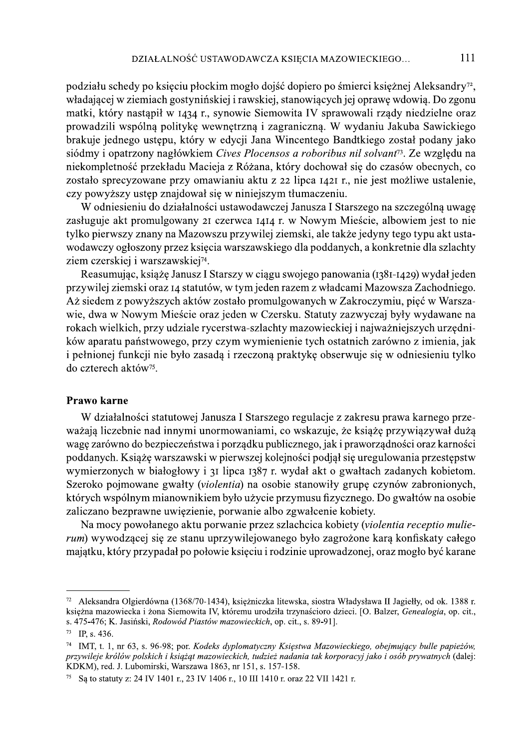podziału schedy po księciu płockim mogło dojść dopiero po śmierci księżnej Aleksandry<sup>72</sup>, władającej w ziemiach gostynińskiej i rawskiej, stanowiących jej oprawę wdowią. Do zgonu matki, który nastąpił w 1434 r., synowie Siemowita IV sprawowali rządy niedzielne oraz prowadzili wspólną politykę wewnętrzną i zagraniczną. W wydaniu Jakuba Sawickiego brakuje jednego ustępu, który w edycji Jana Wincentego Bandtkiego został podany jako siódmy i opatrzony nagłówkiem Cives Plocensos a roboribus nil solvant<sup>73</sup>. Ze względu na niekompletność przekładu Macieja z Różana, który dochował się do czasów obecnych, co zostało sprecyzowane przy omawianiu aktu z 22 lipca 1421 r., nie jest możliwe ustalenie, czy powyższy ustęp znajdował się w niniejszym tłumaczeniu.

W odniesieniu do działalności ustawodawczej Janusza I Starszego na szczególną uwagę zasługuje akt promulgowany 21 czerwca 1414 r. w Nowym Mieście, albowiem jest to nie tylko pierwszy znany na Mazowszu przywilej ziemski, ale także jedyny tego typu akt ustawodawczy ogłoszony przez księcia warszawskiego dla poddanych, a konkretnie dla szlachty ziem czerskiej i warszawskiej<sup>74</sup>.

Reasumując, książę Janusz I Starszy w ciągu swojego panowania (1381-1429) wydał jeden przywilej ziemski oraz 14 statutów, w tym jeden razem z władcami Mazowsza Zachodniego. Aż siedem z powyższych aktów zostało promulgowanych w Zakroczymiu, pięć w Warszawie, dwa w Nowym Mieście oraz jeden w Czersku. Statuty zazwyczaj były wydawane na rokach wielkich, przy udziale rycerstwa-szlachty mazowieckiej i najważniejszych urzędników aparatu państwowego, przy czym wymienienie tych ostatnich zarówno z imienia, jak i pełnionej funkcji nie było zasadą i rzeczoną praktykę obserwuje się w odniesieniu tylko do czterech aktów<sup>75</sup>.

#### Prawo karne

W działalności statutowej Janusza I Starszego regulacje z zakresu prawa karnego przeważają liczebnie nad innymi unormowaniami, co wskazuje, że książę przywiązywał dużą wagę zarówno do bezpieczeństwa i porządku publicznego, jak i praworządności oraz karności poddanych. Książę warszawski w pierwszej kolejności podjął się uregulowania przestępstw wymierzonych w białogłowy i 31 lipca 1387 r. wydał akt o gwałtach zadanych kobietom. Szeroko pojmowane gwałty (violentia) na osobie stanowiły grupę czynów zabronionych, których wspólnym mianownikiem było użycie przymusu fizycznego. Do gwałtów na osobie zaliczano bezprawne uwięzienie, porwanie albo zgwałcenie kobiety.

Na mocy powołanego aktu porwanie przez szlachcica kobiety (violentia receptio mulierum) wywodzącej się ze stanu uprzywilejowanego było zagrożone karą konfiskaty całego majątku, który przypadał po połowie księciu i rodzinie uprowadzonej, oraz mogło być karane

<sup>&</sup>lt;sup>72</sup> Aleksandra Olgierdówna (1368/70-1434), księżniczka litewska, siostra Władysława II Jagiełły, od ok. 1388 r. ksieżna mazowiecka i żona Siemowita IV, któremu urodziła trzynaścioro dzieci. [O. Balzer, Genealogia, op. cit., s. 475-476; K. Jasiński, Rodowód Piastów mazowieckich, op. cit., s. 89-91].

 $^{73}$  IP, s. 436.

<sup>&</sup>lt;sup>74</sup> IMT, t. 1, nr 63, s. 96-98; por. Kodeks dyplomatyczny Księstwa Mazowieckiego, obejmujący bulle papieżów, przywileje królów polskich i książąt mazowieckich, tudzież nadania tak korporacyj jako i osób prywatnych (dalej: KDKM), red. J. Lubomirski, Warszawa 1863, nr 151, s. 157-158.

Sa to statuty z: 24 IV 1401 r., 23 IV 1406 r., 10 III 1410 r. oraz 22 VII 1421 r.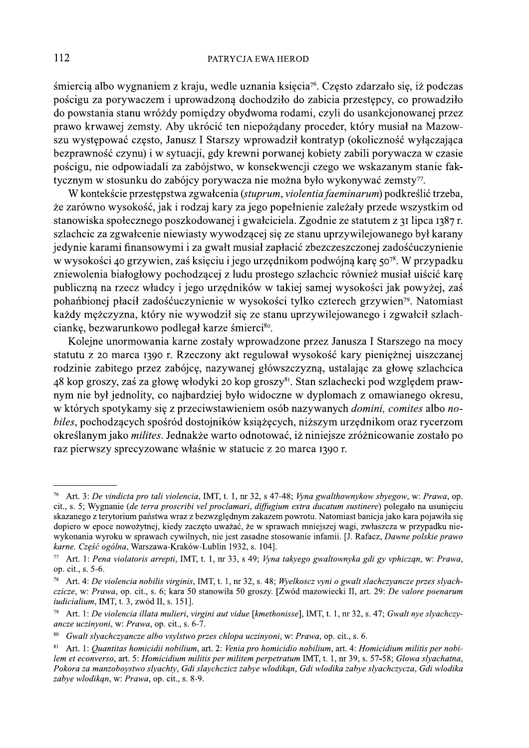śmiercią albo wygnaniem z kraju, wedle uznania księcia<sup>76</sup>. Często zdarzało się, iż podczas pościgu za porywaczem i uprowadzoną dochodziło do zabicia przestępcy, co prowadziło do powstania stanu wróżdy pomiedzy obydwoma rodami, czyli do usankcjonowanej przez prawo krwawej zemsty. Aby ukrócić ten niepożądany proceder, który musiał na Mazowszu występować często, Janusz I Starszy wprowadził kontratyp (okoliczność wyłączająca bezprawność czynu) i w sytuacji, gdy krewni porwanej kobiety zabili porywacza w czasie pościgu, nie odpowiadali za zabójstwo, w konsekwencji czego we wskazanym stanie faktycznym w stosunku do zabójcy porywacza nie można było wykonywać zemsty<sup>77</sup>.

W kontekście przestępstwa zgwałcenia (stuprum, violentia faeminarum) podkreślić trzeba, że zarówno wysokość, jak i rodzaj kary za jego popełnienie zależały przede wszystkim od stanowiska społecznego poszkodowanej i gwałciciela. Zgodnie ze statutem z 31 lipca 1387 r. szlachcic za zgwałcenie niewiasty wywodzącej się ze stanu uprzywilejowanego był karany jedynie karami finansowymi i za gwałt musiał zapłacić zbezczeszczonej zadośćuczynienie w wysokości 40 grzywien, zaś księciu i jego urzędnikom podwójną karę 50<sup>78</sup>. W przypadku zniewolenia białogłowy pochodzącej z ludu prostego szlachcic również musiał uiścić karę publiczną na rzecz władcy i jego urzędników w takiej samej wysokości jak powyżej, zaś pohańbionej płacił zadośćuczynienie w wysokości tylko czterech grzywien<sup>79</sup>. Natomiast każdy mężczyzna, który nie wywodził się ze stanu uprzywilejowanego i zgwałcił szlachciankę, bezwarunkowo podlegał karze śmierci<sup>80</sup>.

Kolejne unormowania karne zostały wprowadzone przez Janusza I Starszego na mocy statutu z 20 marca 1390 r. Rzeczony akt regulował wysokość kary pienieżnej ujszczanej rodzinie zabitego przez zabójce, nazywanej główszczyzna, ustalając za głowe szlachcica 48 kop groszy, zaś za głowę włodyki 20 kop groszy<sup>81</sup>. Stan szlachecki pod względem prawnym nie był jednolity, co najbardziej było widoczne w dyplomach z omawianego okresu, w których spotykamy się z przeciwstawieniem osób nazywanych *domini*, comites albo nobiles, pochodzących spośród dostojników książęcych, niższym urzędnikom oraz rycerzom określanym jako *milites*. Jednakże warto odnotować, iż niniejsze zróżnicowanie zostało po raz pierwszy sprecyzowane właśnie w statucie z 20 marca 1390 r.

<sup>&</sup>lt;sup>76</sup> Art. 3: De vindicta pro tali violencia, IMT, t. 1, nr 32, s 47-48; Vyna gwalthownykow sbyegow, w: Prawa, op. cit., s. 5; Wygnanie (de terra proscribi vel proclamari, diffugium extra ducatum sustinere) polegało na usunięciu skazanego z terytorium państwa wraz z bezwzględnym zakazem powrotu. Natomiast banicja jako kara pojawiła się dopiero w epoce nowożytnej, kiedy zaczęto uważać, że w sprawach mniejszej wagi, zwłaszcza w przypadku niewykonania wyroku w sprawach cywilnych, nie jest zasadne stosowanie infamii. [J. Rafacz, Dawne polskie prawo karne. Część ogólna, Warszawa-Kraków-Lublin 1932, s. 104].

<sup>77</sup> Art. 1: Pena violatoris arrepti, IMT, t. 1, nr 33, s 49; Vyna takyego gwaltownyka gdi gy vphicząn, w: Prawa, op. cit., s. 5-6.

Art. 4: De violencia nobilis virginis, IMT, t. 1, nr 32, s. 48; Wyelkoscz vyni o gwalt slachczyancze przes słyach- $78\,$ czicze, w: Prawa, op. cit., s. 6; kara 50 stanowiła 50 groszy. [Zwód mazowiecki II, art. 29: De valore poenarum *iudicialium*, IMT, t. 3, zwód II, s. 151].

Art. 1: De violencia illata mulieri, virgini aut vidue [kmethonisse], IMT, t. 1, nr 32, s. 47; Gwalt nye slyachczyancze uczinyoni, w: Prawa, op. cit., s. 6-7.

<sup>80</sup> Gwalt slyachczyancze albo vsylstwo przes chlopa uczinyoni, w: Prawa, op. cit., s. 6.

 $8\sqrt{1}$ Art. 1: Quantitas homicidii nobilium, art. 2: Venia pro homicidio nobilium, art. 4: Homicidium militis per nobilem et econverso, art. 5: Homicidium militis per militem perpetratum IMT, t. 1, nr 39, s. 57-58; Glowa slyachatna, Pokora za manzobovstwo slyachty, Gdi slavchczicz zabye włodikan, Gdi włodika zabye slyachczycza, Gdi włodika zabye włodikan, w: Prawa, op. cit., s. 8-9.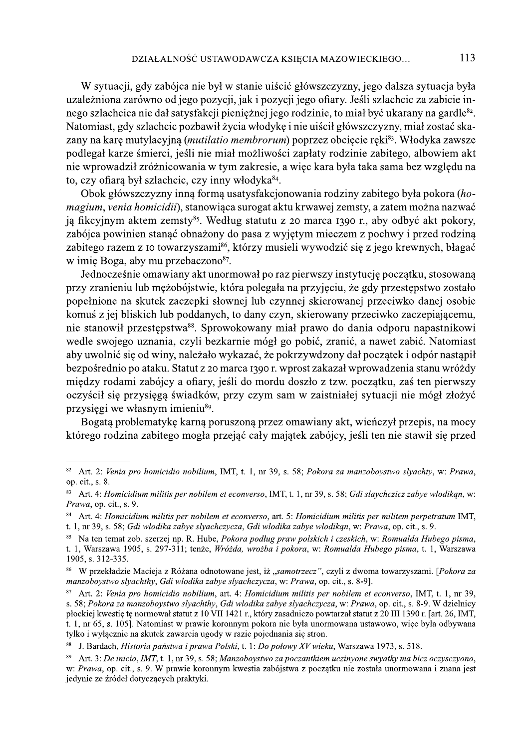W sytuacji, gdy zabójca nie był w stanie ujścić główszczyzny, jego dalsza sytuacja była uzależniona zarówno od jego pozycji, jak i pozycji jego ofiary. Jeśli szlachcic za zabicie innego szlachcica nie dał satysfakcji pienieżnej jego rodzinie, to miał być ukarany na gardle<sup>82</sup>. Natomiast, gdy szlachcic pozbawił życia włodykę i nie uiścił główszczyzny, miał zostać skazany na karę mutylacyjną (*mutilatio membrorum*) poprzez obcięcie ręki<sup>83</sup>. Włodyka zawsze podlegał karze śmierci, jeśli nie miał możliwości zapłaty rodzinie zabitego, albowiem akt nie wprowadził zróżnicowania w tym zakresie, a więc kara była taka sama bez względu na to, czy ofiarą był szlachcic, czy inny włodyka<sup>84</sup>.

Obok główszczyzny inna forma usatysfakcjonowania rodziny zabitego była pokora (homagium, venia homicidii), stanowiąca surogat aktu krwawej zemsty, a zatem można nazwać ją fikcyjnym aktem zemsty<sup>85</sup>. Według statutu z 20 marca 1390 r., aby odbyć akt pokory, zabójca powinien stanąć obnażony do pasa z wyjętym mieczem z pochwy i przed rodziną zabitego razem z 10 towarzyszami<sup>86</sup>, którzy musieli wywodzić się z jego krewnych, błagać w imię Boga, aby mu przebaczono<sup>87</sup>.

Jednocześnie omawiany akt unormował po raz pierwszy instytucję początku, stosowaną przy zranieniu lub mężobójstwie, która polegała na przyjęciu, że gdy przestępstwo zostało popełnione na skutek zaczepki słownej lub czynnej skierowanej przeciwko danej osobie komuś z jej bliskich lub poddanych, to dany czyn, skierowany przeciwko zaczepiającemu, nie stanowił przestępstwa<sup>88</sup>. Sprowokowany miał prawo do dania odporu napastnikowi wedle swojego uznania, czyli bezkarnie mógł go pobić, zranić, a nawet zabić. Natomiast aby uwolnić się od winy, należało wykazać, że pokrzywdzony dał początek i odpór nastąpił bezpośrednio po ataku. Statut z 20 marca 1390 r. wprost zakazał wprowadzenia stanu wróżdy między rodami zabójcy a ofiary, jeśli do mordu doszło z tzw. początku, zaś ten pierwszy oczyścił się przysięgą świadków, przy czym sam w zaistniałej sytuacji nie mógł złożyć przysięgi we własnym imieniu<sup>89</sup>.

Bogatą problematykę karną poruszoną przez omawiany akt, wieńczył przepis, na mocy którego rodzina zabitego mogła przejąć cały majątek zabójcy, jeśli ten nie stawił się przed

<sup>&</sup>lt;sup>82</sup> Art. 2: Venia pro homicidio nobilium, IMT, t. 1, nr 39, s. 58; Pokora za manzoboystwo slyachty, w: Prawa, op. cit., s. 8.

<sup>83</sup> Art. 4: Homicidium militis per nobilem et econverso, IMT, t. 1, nr 39, s. 58; Gdi slaychczicz zabye wlodikąn, w: Prawa, op. cit., s. 9.

Art. 4: Homicidium militis per nobilem et econverso, art. 5: Homicidium militis per militem perpetratum IMT, t. 1, nr 39, s. 58; Gdi wlodika zabye slyachczycza, Gdi wlodika zabye wlodikan, w: Prawa, op. cit., s. 9.

<sup>&</sup>lt;sup>85</sup> Na ten temat zob. szerzej np. R. Hube, *Pokora podług praw polskich i czeskich*, w: *Romualda Hubego pisma*, t. 1, Warszawa 1905, s. 297-311; tenże, Wróżda, wrożba i pokora, w: Romualda Hubego pisma, t. 1, Warszawa 1905, s. 312-335.

<sup>86</sup> W przekładzie Macieja z Różana odnotowane jest, iż "samotrzecz", czyli z dwoma towarzyszami. [Pokora za manzobovstwo slyachthy, Gdi wlodika zabye slyachczycza, w: Prawa, op. cit., s. 8-9].

 $87$ Art. 2: Venia pro homicidio nobilium, art. 4: Homicidium militis per nobilem et econverso, IMT, t. 1, nr 39, s. 58; Pokora za manzoboystwo slyachthy, Gdi wlodika zabye slyachczycza, w: Prawa, op. cit., s. 8-9. W dzielnicy płockiej kwestie te normował statut z 10 VII 1421 r., który zasadniczo powtarzał statut z 20 III 1390 r. [art. 26, IMT, t. 1, nr 65, s. 105]. Natomiast w prawie koronnym pokora nie była unormowana ustawowo, wiec była odbywana tylko i wyłącznie na skutek zawarcia ugody w razie pojednania się stron.

 $8\sqrt{8}$ J. Bardach, Historia państwa i prawa Polski, t. 1: Do połowy XV wieku, Warszawa 1973, s. 518.

<sup>89</sup> Art. 3: De inicio, IMT, t. 1, nr 39, s. 58: Manzobovstwo za poczantkiem uczinyone swyatky ma bicz oczysczyono, w: Prawa, op. cit., s. 9. W prawie koronnym kwestia zabójstwa z poczatku nie została unormowana i znana jest jedynie ze źródeł dotyczących praktyki.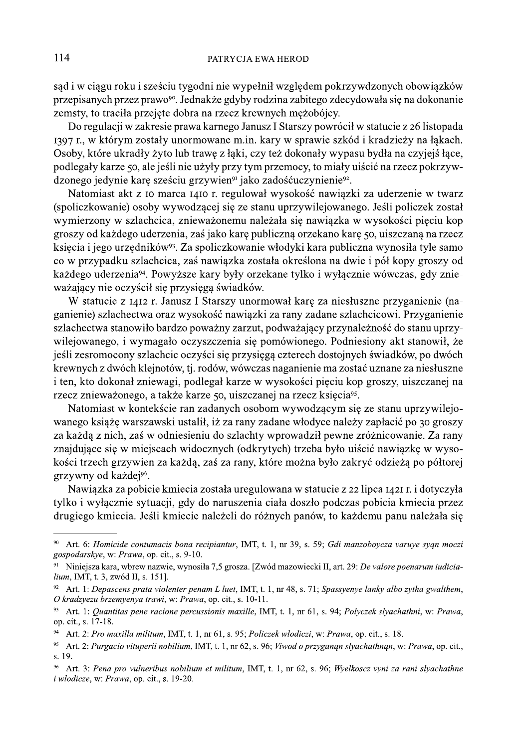114 PATRYCJA EWA HEROD<br>
sąd i w ciągu roku i sześciu tygodni nie wypełnił względem pokrzywdzonych obowiązków<br>
przepisanych przez prawo<sup>os</sup>. Jednakże gdyby rodzina zabitego zdecydowała się na dokonanie<br>
zemsty, to traciła Natomiast akt z 10 marca 1410 r. regulował wysokość nawiązki za uderzenie w twarz (spoliczkowanie) osoby wywodzącej się ze stanu uprzywilejowanego. Jeśli policzek został wymierzony w szlachcica, znieważonemu należała się nawiązka w wysokości pięciu kop groszy od każdego uderzenia, zaś jako karę publiczną orzekano karę 50, ujszczaną na rzecz (3997 r, w korym zostary umornowane m.m. kary w sprawe szkou a kradziezy na qikacn.<br>
Osoby, które ukradly żyto lub trawę z łąki, czy też dokonały wypasu byłla na czycjej łące,<br>
podlegały karze 50, ale jeśli nie użyły przy

poudegary karze 50, ate jesn me uzyry przy tym przemocy, to mnáry uscic na rzecz pokrzywienocy jedynie karę sześciu grzywien<sup>9</sup> jako zadośćuczynienie<sup>52</sup>.<br>
Matomiast akt z 10 marca 1410 r. regulował wysokość nawiązki za ud ganienie) szlachectwa oraz wysokość nawiązki za rany zadane szlachcicowi. Przyganienie szlachectwa stanowiło bardzo poważny zarzut, podważający przynależność do stanu uprzygroszy ou kazacgo uderzemia, zas jako karę publiczną orzekato karę 50, ulszczatą na rzecz<br>księcia i jego urzędników<sup>30</sup>. Za spoliczkowanie włodyki kara publiczna wynosiła tyle samo<br>co w przypadku szlachcica, zaś nawiązka z seyeta i jęgo urzęonia.<br>
seyeta Apeliczkowe" - Za sponiczkowanie włonyk kara punoniczna wynostany je samo przypadku szłatoficzu, zas mawiątka została okresłom na dwie i pół kopy groszy od każdęgo uderzenia". Powyższe kary

Nationalist W konteksce ran Zataniyen Sosobin wywoozzącym się ze statu uprzywnejo książę warszawski ustalił, iż za rany zadane włodyce należy zapłacić p 30 groszy za każdą z nich, zaś w odniesieniu do szlachty wprowadził

Nawiązka za pobicie kmiecia została uregulowana w statucie z 22 lipca 1421 r. i dotyczyła<br>tylko i wyłacznie sytuacji, gdy do naruszenia ciała doszło podczas pobicia kmiecia przez

 $i$  wlodicze, w: Prawa, op. cit., s. 19-20.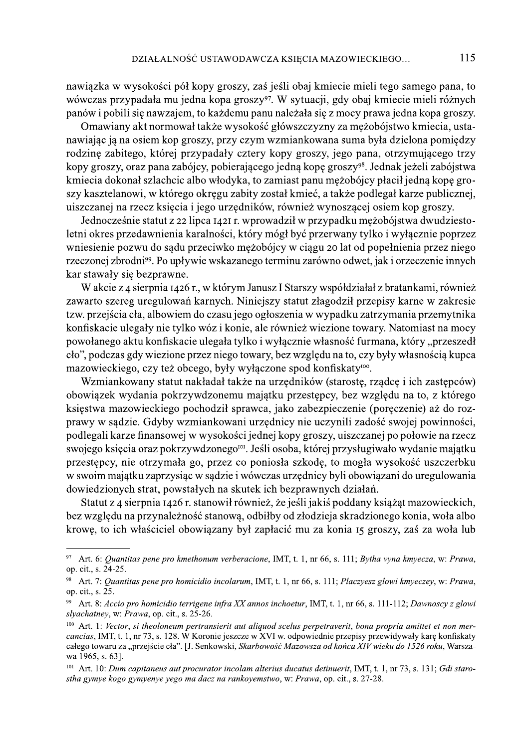nawiązka w wysokości pół kopy groszy, zaś jeśli obaj kmiecie mieli tego samego pana, to wówczas przypadała mu jedna kopa groszy<sup>97</sup>. W sytuacji, gdy obaj kmiecie mieli różnych panów i pobili się nawzajem, to każdemu panu należała się z mocy prawa jedna kopa groszy.

Omawiany akt normował także wysokość główszczyzny za mężobójstwo kmiecia, ustanawiając ją na osiem kop groszy, przy czym wzmiankowana suma była dzielona pomiędzy rodzinę zabitego, której przypadały cztery kopy groszy, jego pana, otrzymującego trzy kopy groszy, oraz pana zabójcy, pobierającego jedną kopę groszy<sup>98</sup>. Jednak jeżeli zabójstwa kmiecia dokonał szlachcic albo włodyka, to zamiast panu mężobójcy płacił jedną kopę groszy kasztelanowi, w którego okregu zabity został kmieć, a także podlegał karze publicznej, uiszczanej na rzecz księcia i jego urzędników, również wynoszącej osiem kop groszy.

Jednocześnie statut z 22 lipca 1421 r. wprowadził w przypadku mężobójstwa dwudziestoletni okres przedawnienia karalności, który mógł być przerwany tylko i wyłącznie poprzez wniesienie pozwu do sądu przeciwko mężobójcy w ciągu 20 lat od popełnienia przez niego rzeczonej zbrodni<sup>99</sup>. Po upływie wskazanego terminu zarówno odwet, jak i orzeczenie innych kar stawały się bezprawne.

W akcie z 4 sierpnia 1426 r., w którym Janusz I Starszy współdziałał z bratankami, również zawarto szereg uregulowań karnych. Niniejszy statut złagodził przepisy karne w zakresie tzw. przejścia cła, albowiem do czasu jego ogłoszenia w wypadku zatrzymania przemytnika konfiskacie ulegały nie tylko wóz i konie, ale również wiezione towary. Natomiast na mocy powołanego aktu konfiskacie ulegała tylko i wyłącznie własność furmana, który "przeszedł cło", podczas gdy wiezione przez niego towary, bez względu na to, czy były własnością kupca mazowieckiego, czy też obcego, były wyłączone spod konfiskaty<sup>100</sup>.

Wzmiankowany statut nakładał także na urzędników (starostę, rządcę i ich zastępców) obowiązek wydania pokrzywdzonemu majątku przestępcy, bez względu na to, z którego księstwa mazowieckiego pochodził sprawca, jako zabezpieczenie (poręczenie) aż do rozprawy w sądzie. Gdyby wzmiankowani urzędnicy nie uczynili zadość swojej powinności, podlegali karze finansowej w wysokości jednej kopy groszy, uiszczanej po połowie na rzecz swojego księcia oraz pokrzywdzonego<sup>tor</sup>. Jeśli osoba, której przysługiwało wydanie majątku przestępcy, nie otrzymała go, przez co poniosła szkodę, to mogła wysokość uszczerbku w swoim majątku zaprzysiąc w sądzie i wówczas urzędnicy byli obowiązani do uregulowania dowiedzionych strat, powstałych na skutek ich bezprawnych działań.

Statut z 4 sierpnia 1426 r. stanowił również, że jeśli jakiś poddany książąt mazowieckich, bez względu na przynależność stanową, odbiłby od złodzieja skradzionego konia, woła albo krowę, to ich właściciel obowiązany był zapłacić mu za konia 15 groszy, zaś za woła lub

<sup>97</sup> Art. 6: Quantitas pene pro kmethonum verberacione, IMT, t. 1, nr 66, s. 111; Bytha vyna kmyecza, w: Prawa, op. cit., s. 24-25.

<sup>&</sup>lt;sup>98</sup> Art. 7: Quantitas pene pro homicidio incolarum, IMT, t. 1, nr 66, s. 111; Placzyesz glowi kmyeczey, w: Prawa, op. cit., s. 25.

<sup>99</sup> Art. 8: Accio pro homicidio terrigene infra XX annos inchoetur, IMT, t. 1, nr 66, s. 111-112; Dawnoscy z glowi slyachatney, w: Prawa, op. cit., s. 25-26.

 $100$  Art. 1: Vector, si theoloneum pertransierit aut aliquod scelus perpetraverit, bona propria amittet et non mercancias, IMT, t. 1, nr 73, s. 128. W Koronie jeszcze w XVI w. odpowiednie przepisy przewidywały karę konfiskaty całego towaru za "przejście cła". [J. Senkowski, Skarbowość Mazowsza od końca XIV wieku do 1526 roku, Warszawa 1965, s. 63].

<sup>&</sup>lt;sup>101</sup> Art. 10: Dum capitaneus aut procurator incolam alterius ducatus detinuerit, IMT, t. 1, nr 73, s. 131; Gdi starostha gymye kogo gymyenye yego ma dacz na rankovemstwo, w: Prawa, op. cit., s. 27-28.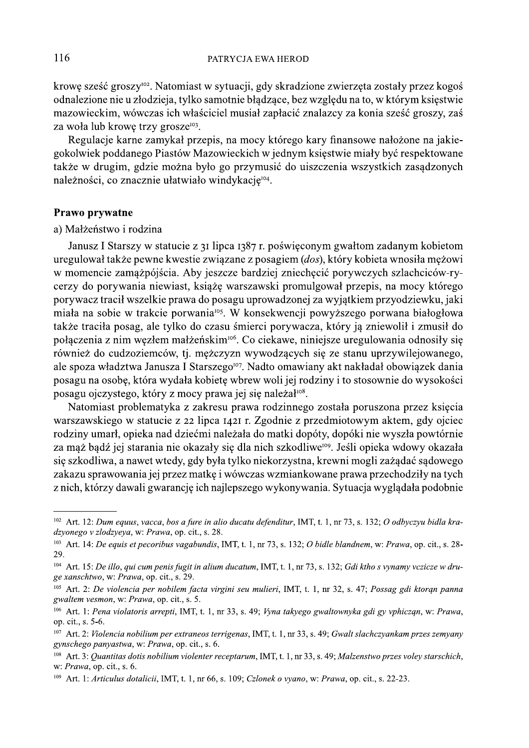krowę sześć groszy<sup>102</sup>. Natomiast w sytuacji, gdy skradzione zwierzęta zostały przez kogoś odnalezione nie u złodzieja, tylko samotnie błądzące, bez względu na to, w którym księstwie mazowieckim, wówczas ich właściciel musiał zapłacić znalazcy za konia sześć groszy, zaś za woła lub krowę trzy grosze<sup>103</sup>.

Regulacje karne zamykał przepis, na mocy którego kary finansowe nałożone na jakiegokolwiek poddanego Piastów Mazowieckich w jednym księstwie miały być respektowane także w drugim, gdzie można było go przymusić do ujszczenia wszystkich zasądzonych należności, co znacznie ułatwiało windykację<sup>104</sup>.

#### Prawo prywatne

a) Małżeństwo i rodzina

Janusz I Starszy w statucie z 31 lipca 1387 r. poświęconym gwałtom zadanym kobietom uregulował także pewne kwestie związane z posagiem (dos), który kobieta wnosiła mężowi w momencie zamążpójścia. Aby jeszcze bardziej zniechęcić porywczych szlachciców-rycerzy do porywania niewiast, książę warszawski promulgował przepis, na mocy którego porywacz tracił wszelkie prawa do posagu uprowadzonej za wyjątkiem przyodziewku, jaki miała na sobie w trakcie porwania<sup>105</sup>. W konsekwencji powyższego porwana białogłowa także traciła posag, ale tylko do czasu śmierci porywacza, który ja zniewolił i zmusił do połączenia z nim węzłem małżeńskim<sup>106</sup>. Co ciekawe, niniejsze uregulowania odnosiły się również do cudzoziemców, tj. mężczyzn wywodzących się ze stanu uprzywilejowanego, ale spoza władztwa Janusza I Starszego<sup>107</sup>. Nadto omawiany akt nakładał obowiązek dania posagu na osobę, która wydała kobietę wbrew woli jej rodziny i to stosownie do wysokości posagu ojczystego, który z mocy prawa jej się należał<sup>108</sup>.

Natomiast problematyka z zakresu prawa rodzinnego została poruszona przez księcia warszawskiego w statucie z 22 lipca 1421 r. Zgodnie z przedmiotowym aktem, gdy ojciec rodziny umarł, opieka nad dziećmi należała do matki dopóty, dopóki nie wyszła powtórnie za mąż bądź jej starania nie okazały się dla nich szkodliwe<sup>109</sup>. Jeśli opieka wdowy okazała się szkodliwa, a nawet wtedy, gdy była tylko niekorzystna, krewni mogli zażądać sądowego zakazu sprawowania jej przez matkę i wówczas wzmiankowane prawa przechodziły na tych z nich, którzy dawali gwarancję ich najlepszego wykonywania. Sytuacja wyglądała podobnie

 $102$  Art. 12: Dum equus, vacca, bos a fure in alio ducatu defenditur, IMT, t. 1, nr 73, s. 132; O odbyczyu bidla kradzyonego v złodzyeya, w: Prawa, op. cit., s. 28.

<sup>&</sup>lt;sup>103</sup> Art. 14: *De equis et pecoribus vagabundis*, IMT, t. 1, nr 73, s. 132; *O bidle blandnem*, w: Prawa, op. cit., s. 28-29.

 $104$  Art. 15: De illo, qui cum penis fugit in alium ducatum, IMT, t. 1, nr 73, s. 132; Gdi ktho s vynamy vczicze w druge xanschtwo, w: Prawa, op. cit., s. 29.

 $^{105}$  Art. 2: De violencia per nobilem facta virgini seu mulieri, IMT, t. 1, nr 32, s. 47; Possag gdi ktoran panna gwaltem vesmon, w: Prawa, op. cit., s. 5.

<sup>&</sup>lt;sup>106</sup> Art. 1: Pena violatoris arrepti, IMT, t. 1, nr 33, s. 49; Vyna takyego gwaltownyka gdi gy vphiczan, w: Prawa, op. cit., s. 5-6.

 $107$  Art. 2: Violencia nobilium per extraneos terrigenas, IMT, t. 1, nr 33, s. 49; Gwalt slachczyankam przes zemyany gynschego panyastwa, w: Prawa, op. cit., s. 6.

<sup>&</sup>lt;sup>108</sup> Art. 3: *Quantitas dotis nobilium violenter receptarum*, IMT, t. 1, nr 33, s. 49; *Malzenstwo przes voley starschich*, w: Prawa, op. cit., s. 6.

<sup>&</sup>lt;sup>109</sup> Art. 1: *Articulus dotalicii*, IMT, t. 1, nr 66, s. 109; *Czlonek o vyano*, w: *Prawa*, op. cit., s. 22-23.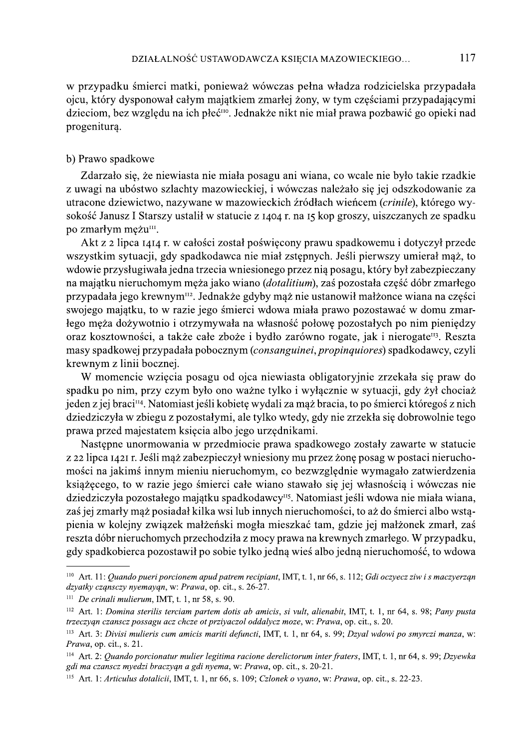w przypadku śmierci matki, ponieważ wówczas pełna władza rodzicielska przypadała ojcu, który dysponował całym majątkiem zmarłej żony, w tym częściami przypadającymi dzieciom, bez względu na ich płeć<sup>no</sup>. Jednakże nikt nie miał prawa pozbawić go opieki nad progeniturą.

### b) Prawo spadkowe

Zdarzało się, że niewiasta nie miała posagu ani wiana, co wcale nie było takie rzadkie z uwagi na ubóstwo szlachty mazowieckiej, i wówczas należało się jej odszkodowanie za utracone dziewictwo, nazywane w mazowieckich źródłach wieńcem (crinile), którego wysokość Janusz I Starszy ustalił w statucie z 1404 r. na 15 kop groszy, ujszczanych ze spadku po zmarłym meżu<sup>m</sup>.

Akt z 2 lipca 1414 r. w całości został poświęcony prawu spadkowemu i dotyczył przede wszystkim sytuacji, gdy spadkodawca nie miał zstępnych. Jeśli pierwszy umierał mąż, to wdowie przysługiwała jedna trzecia wniesionego przez nią posagu, który był zabezpieczany na majątku nieruchomym męża jako wiano (dotalitium), zaś pozostała część dóbr zmarłego przypadała jego krewnym<sup>112</sup>. Jednakże gdyby mąż nie ustanowił małżonce wiana na części swojego majątku, to w razie jego śmierci wdowa miała prawo pozostawać w domu zmarłego męża dożywotnio i otrzymywała na własność połowę pozostałych po nim pieniędzy oraz kosztowności, a także całe zboże i bydło zarówno rogate, jak i nierogate<sup>113</sup>. Reszta masy spadkowej przypadała pobocznym (consanguinei, propinquiores) spadkodawcy, czyli krewnym z linii bocznej.

W momencie wzięcia posagu od ojca niewiasta obligatoryjnie zrzekała się praw do spadku po nim, przy czym było ono ważne tylko i wyłącznie w sytuacji, gdy żył chociaż ieden z jej braci<sup>n4</sup>. Natomiast jeśli kobiete wydali za maż bracia, to po śmierci któregoś z nich dziedziczyła w zbiegu z pozostałymi, ale tylko wtedy, gdy nie zrzekła się dobrowolnie tego prawa przed majestatem księcia albo jego urzędnikami.

Nastepne unormowania w przedmiocie prawa spadkowego zostały zawarte w statucie z 22 lipca 1421 r. Jeśli mąż zabezpieczył wniesiony mu przez żonę posag w postaci nieruchomości na jakimś innym mieniu nieruchomym, co bezwzględnie wymagało zatwierdzenia książęcego, to w razie jego śmierci całe wiano stawało się jej własnością i wówczas nie dziedziczyła pozostałego majątku spadkodawcy<sup>115</sup>. Natomiast jeśli wdowa nie miała wiana, zaś jej zmarły maż posiadał kilka wsi lub innych nieruchomości, to aż do śmierci albo wstapienia w kolejny związek małżeński mogła mieszkać tam, gdzie jej małżonek zmarł, zaś reszta dóbr nieruchomych przechodziła z mocy prawa na krewnych zmarłego. W przypadku, gdy spadkobierca pozostawił po sobie tylko jedną wieś albo jedną nieruchomość, to wdowa

<sup>&</sup>lt;sup>110</sup> Art. 11: Quando pueri porcionem apud patrem recipiant, IMT, t. 1, nr 66, s. 112; Gdi oczyecz ziw i s maczyerzan dzyatky cząnsczy nyemayąn, w: Prawa, op. cit., s. 26-27.

 $111$  De crinali mulierum, IMT, t. 1, nr 58, s. 90.

 $112$  Art. 1: Domina sterilis terciam partem dotis ab amicis, si vult, alienabit, IMT, t. 1, nr 64, s. 98; Pany pusta trzeczygn czanscz possagu acz chcze ot prziyaczol oddalycz moze, w: Prawa, op. cit., s. 20.

<sup>&</sup>lt;sup>113</sup> Art. 3: Divisi mulieris cum amicis mariti defuncti, IMT, t. 1, nr 64, s. 99; Dzval wdowi po smyrczi manza, w: *Prawa*, op. cit., s. 21.

<sup>&</sup>lt;sup>114</sup> Art. 2: Quando porcionatur mulier legitima racione derelictorum inter fraters, IMT, t. 1, nr 64, s. 99; Dzyewka gdi ma czanscz myedzi braczygn a gdi nyema, w: Prawa, op. cit., s. 20-21.

<sup>&</sup>lt;sup>115</sup> Art. 1: Articulus dotalicii, IMT, t. 1, nr 66, s. 109; Czlonek o vyano, w: Prawa, op. cit., s. 22-23.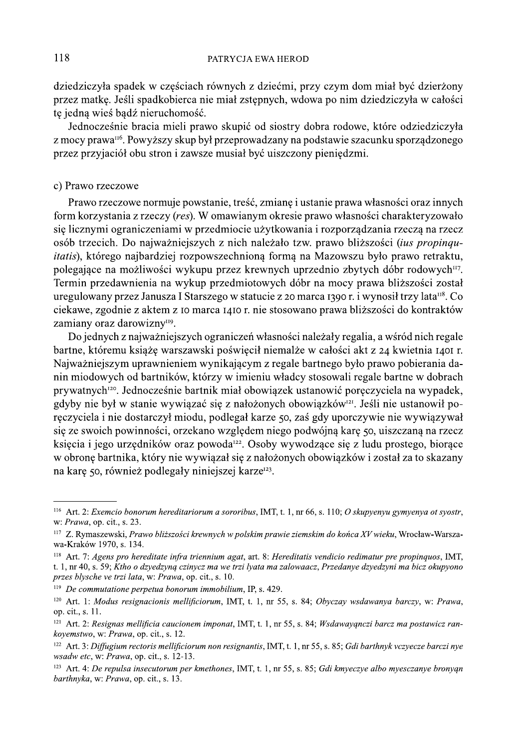dziedziczyła spadek w częściach równych z dziećmi, przy czym dom miał być dzierżony przez matkę. Jeśli spadkobierca nie miał zstępnych, wdowa po nim dziedziczyła w całości te jedna wieś badź nieruchomość.

Jednocześnie bracia mieli prawo skupić od siostry dobra rodowe, które odziedziczyła z mocy prawa<sup>116</sup>. Powyższy skup był przeprowadzany na podstawie szacunku sporządzonego przez przyjąciół obu stron i zawsze musiał być ujszczony pieniędzmi.

#### c) Prawo rzeczowe

Prawo rzeczowe normuje powstanie, treść, zmianę i ustanie prawa własności oraz innych form korzystania z rzeczy (res). W omawianym okresie prawo własności charakteryzowało sie licznymi ograniczeniami w przedmiocie użytkowania i rozporzadzania rzecza na rzecz osób trzecich. Do najważniejszych z nich należało tzw. prawo bliższości (ius propinqu*itatis*), którego najbardziej rozpowszechnioną formą na Mazowszu było prawo retraktu, polegające na możliwości wykupu przez krewnych uprzednio zbytych dóbr rodowych<sup>117</sup>. Termin przedawnienia na wykup przedmiotowych dóbr na mocy prawa bliższości został uregulowany przez Janusza I Starszego w statucie z 20 marca 1390 r. i wynosił trzy lata<sup>n8</sup>. Co ciekawe, zgodnie z aktem z 10 marca 1410 r. nie stosowano prawa bliższości do kontraktów zamiany oraz darowizny<sup>119</sup>.

Do jednych z najważniejszych ograniczeń własności należały regalia, a wśród nich regale bartne, któremu książę warszawski poświęcił niemalże w całości akt z 24 kwietnia 1401 r. Najważniejszym uprawnieniem wynikającym z regale bartnego było prawo pobierania danin miodowych od bartników, którzy w imieniu władcy stosowali regale bartne w dobrach prywatnych<sup>120</sup>. Jednocześnie bartnik miał obowiązek ustanowić poręczyciela na wypadek, gdyby nie był w stanie wywiązać się z nałożonych obowiązków<sup>121</sup>. Jeśli nie ustanowił poręczyciela i nie dostarczył miodu, podlegał karze 50, zaś gdy uporczywie nie wywiązywał się ze swoich powinności, orzekano względem niego podwójną karę 50, ujszczaną na rzecz księcia i jego urzędników oraz powoda<sup>122</sup>. Osoby wywodzące się z ludu prostego, biorące w obronę bartnika, który nie wywiązał się z nałożonych obowiązków i został za to skazany na karę 50, również podlegały niniejszej karze<sup>123</sup>.

<sup>&</sup>lt;sup>116</sup> Art. 2: *Exemcio bonorum hereditariorum a sororibus*, IMT, t. 1, nr 66, s. 110; *O skupyenyu gymyenya ot syostr*, w: Prawa, op. cit., s. 23.

<sup>&</sup>lt;sup>117</sup> Z. Rymaszewski, Prawo bliższości krewnych w polskim prawie ziemskim do końca XV wieku, Wrocław-Warszawa-Kraków 1970, s. 134.

<sup>&</sup>lt;sup>118</sup> Art. 7: Agens pro hereditate infra triennium agat, art. 8: Hereditatis vendicio redimatur pre propinquos, IMT, t. 1, nr 40, s. 59; Ktho o dzyedzyną czinycz ma we trzi lyata ma zalowaacz, Przedanye dzyedzyni ma bicz okupyono przes blysche ve trzi lata, w: Prawa, op. cit., s. 10.

 $119$  De commutatione perpetua bonorum immobilium, IP, s. 429.

<sup>&</sup>lt;sup>120</sup> Art. 1: Modus resignacionis mellificiorum, IMT, t. 1, nr 55, s. 84; Obyczay wsdawanya barczy, w: Prawa, op. cit., s. 11.

 $121$  Art. 2: Resignas mellificia caucionem imponat, IMT, t. 1, nr 55, s. 84; Wsdawayanczi barcz ma postawicz rankovemstwo, w: Prawa, op. cit., s. 12.

<sup>&</sup>lt;sup>122</sup> Art. 3: Diffugium rectoris mellificiorum non resignantis, IMT, t. 1, nr 55, s. 85; Gdi barthnyk vczyecze barczi nye wsadw etc, w: Prawa, op. cit., s. 12-13.

 $123$  Art. 4: De repulsa insecutorum per kmethones, IMT, t. 1, nr 55, s. 85; Gdi kmyeczye albo myesczanye bronyan barthnyka, w: Prawa, op. cit., s. 13.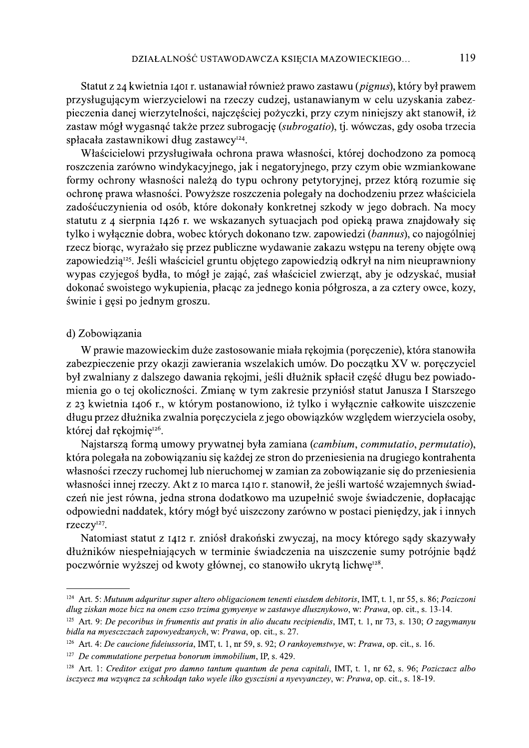DZIAŁALNOŚĆ USTAWODAWCZA KSIĘCIA MAZOWIECKIEGO... [119<br>
Slatut z 24 kwietnia 1401 r. ustanawiał również prawo zastawu (*pignus*), który był prawem<br>
przysługującym wierzycielowi na rzeczy cudzej, ustanawianym w celu uzyska DZIAL ALNOŚĆ USTAWODAWCZA KSIĘCIA MAZOWIECKIEGO... 119<br>
Słatu z 44 kwietnia 140f t. ustanawiał również prawo zastawu (*pigmar*), który był prawen<br>
przysięująnym wierzycielkości najczęściej pożyczki, przy czym niniejszy a

wypas czyjegoś bydła, to mógł je zająć, zaś właściciel zwierząt, aby je odzyskać, musiał<br>dokonać swoistego wykupienia, płacąc za jednego konia półgrosza, a za cztery owce, kozy,<br>świnie i gęsi po jednym groszu.<br>d) Zobowiąza W prawie mazowieckim duże zastosowanie miała rękojmia (poręczenie), która stanowiła<br>zabezpieczenie przy okazji zawierania wszelakich umów. Do początku XV w. poręczyciel<br>był zwalniany z dałszego dawania rękojmi, jesti dłuż Kore diafrigo diafrigo mentro politico permutatio, permutatio),<br>
Majstarszą formery rehomej lub nieruchomej w zamian za zobowiązanie się do przeniesienia<br>
własności imej rzeczy. Akt z 10 marca 1410 r. stanowił, że jeśli va

odownenii nadadce, który mogł być uszczony zarowno w postaci piemęczy, jak i mnych orzezy<sup>327</sup>.<br>
Natomiast statut z 1412 r. zniósł drakoński zwyczaj, na mocy którego sądy skazywały<br>
dłużników niespełniających w terminie św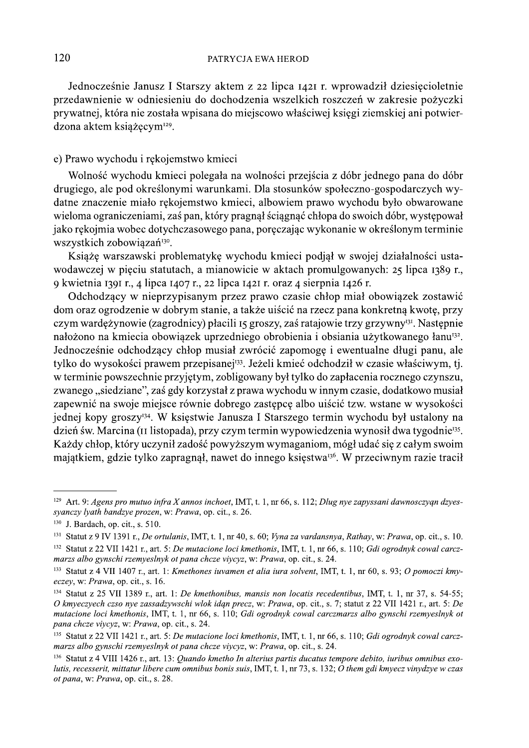Jednocześnie Janusz I Starszy aktem z 22 lipca 1421 r. wprowadził dziesięcioletnie przedawnienie w odniesieniu do dochodzenia wszelkich roszczeń w zakresie pożyczki prywatnej, która nie została wpisana do miejscowo właściwej księgi ziemskiej ani potwierdzona aktem książęcym<sup>129</sup>.

#### e) Prawo wychodu i rękojemstwo kmieci

Wolność wychodu kmieci polegała na wolności przejścia z dóbr jednego pana do dóbr drugiego, ale pod określonymi warunkami. Dla stosunków społeczno-gospodarczych wydatne znaczenie miało rękojemstwo kmieci, albowiem prawo wychodu było obwarowane wieloma ograniczeniami, zaś pan, który pragnął ściągnąć chłopa do swoich dóbr, występował jako rekojmia wobec dotychczasowego pana, poręczając wykonanie w określonym terminie wszystkich zobowiązań<sup>130</sup>.

Książę warszawski problematykę wychodu kmieci podjął w swojej działalności ustawodawczej w pięciu statutach, a mianowicie w aktach promulgowanych: 25 lipca 1389 r., 9 kwietnia 1391 r., 4 lipca 1407 r., 22 lipca 1421 r. oraz 4 sierpnia 1426 r.

Odchodzący w nieprzypisanym przez prawo czasie chłop miał obowiązek zostawić dom oraz ogrodzenie w dobrym stanie, a także ujścić na rzecz pana konkretną kwotę, przy czym wardężynowie (zagrodnicy) płacili 15 groszy, zaś ratajowie trzy grzywny<sup>131</sup>. Następnie nałożono na kmiecia obowiązek uprzedniego obrobienia i obsiania użytkowanego łanu<sup>132</sup>. Jednocześnie odchodzący chłop musiał zwrócić zapomogę i ewentualne długi panu, ale tylko do wysokości prawem przepisanej<sup>133</sup>. Jeżeli kmieć odchodził w czasie właściwym, tj. w terminie powszechnie przyjętym, zobligowany był tylko do zapłacenia rocznego czynszu, zwanego "siedziane", zaś gdy korzystał z prawa wychodu w innym czasie, dodatkowo musiał zapewnić na swoje miejsce równie dobrego zastepce albo ujścić tzw. wstane w wysokości jednej kopy groszy<sup>134</sup>. W księstwie Janusza I Starszego termin wychodu był ustalony na dzień św. Marcina (II listopada), przy czym termin wypowiedzenia wynosił dwa tygodnie<sup>135</sup>. Każdy chłop, który uczynił zadość powyższym wymaganiom, mógł udać się z całym swoim majątkiem, gdzie tylko zapragnął, nawet do innego księstwa<sup>136</sup>. W przeciwnym razie tracił

<sup>&</sup>lt;sup>129</sup> Art. 9: Agens pro mutuo infra X annos inchoet, IMT, t. 1, nr 66, s. 112; Dlug nye zapyssani dawnosczyąn dzyessyanczy lyath bandzye prozen, w: Prawa, op. cit., s. 26.

<sup>&</sup>lt;sup>130</sup> J. Bardach, op. cit., s. 510.

<sup>131</sup> Statut z 9 IV 1391 r., De ortulanis, IMT, t. 1, nr 40, s. 60; Vyna za vardansnya, Rathay, w: Prawa, op. cit., s. 10. <sup>132</sup> Statut z 22 VII 1421 r., art. 5: De mutacione loci kmethonis, IMT, t. 1, nr 66, s. 110; Gdi ogrodnyk cowal carczmarzs albo gynschi rzemyeslnyk ot pana chcze viycyz, w: Prawa, op. cit., s. 24.

<sup>&</sup>lt;sup>133</sup> Statut z 4 VII 1407 r., art. 1: Kmethones iuvamen et alia iura solvent, IMT, t. 1, nr 60, s. 93; O pomoczi kmyeczey, w: Prawa, op. cit., s. 16.

<sup>&</sup>lt;sup>134</sup> Statut z 25 VII 1389 r., art. 1: *De kmethonibus, mansis non locatis recedentibus*, IMT, t. 1, nr 37, s. 54-55; O kmyeczyech czso nye zassadzywschi wlok idan precz, w: Prawa, op. cit., s. 7; statut z 22 VII 1421 r., art. 5: De mutacione loci kmethonis, IMT, t. 1, nr 66, s. 110; Gdi ogrodnyk cowal carczmarzs albo gynschi rzemyeslnyk ot pana chcze viycyz, w: Prawa, op. cit., s. 24.

<sup>&</sup>lt;sup>135</sup> Statut z 22 VII 1421 r., art. 5: De mutacione loci kmethonis, IMT, t. 1, nr 66, s. 110; Gdi ogrodnyk cowal carczmarzs albo gynschi rzemyeslnyk ot pana chcze viycyz, w: Prawa, op. cit., s. 24.

 $136$  Statut z 4 VIII 1426 r., art. 13: *Ouando kmetho In alterius partis ducatus tempore debito, iuribus omnibus exo*lutis, recesserit, mittatur libere cum omnibus bonis suis, IMT, t. 1, nr 73, s. 132;  $\overline{O}$  them gdi kmyecz vinydzye w czas ot pana, w: Prawa, op. cit., s. 28.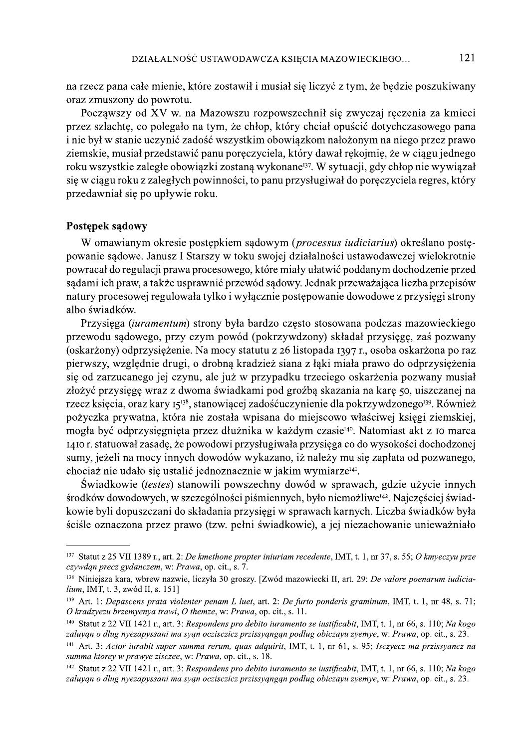na rzecz pana całe mienie, które zostawił i musiał się liczyć z tym, że będzie poszukiwany oraz zmuszony do powrotu.

Poczawszy od XV w. na Mazowszu rozpowszechnił się zwyczaj reczenia za kmieci przez szlachtę, co polegało na tym, że chłop, który chciał opuścić dotychczasowego pana i nie był w stanie uczynić zadość wszystkim obowiązkom nałożonym na niego przez prawo ziemskie, musiał przedstawić panu poręczyciela, który dawał rękojmię, że w ciągu jednego roku wszystkie zaległe obowiązki zostaną wykonane<sup>137</sup>. W sytuacji, gdy chłop nie wywiązał się w ciągu roku z zaległych powinności, to panu przysługiwał do poręczyciela regres, który przedawniał się po upływie roku.

#### Postępek sądowy

W omawianym okresie postępkiem sądowym (processus iudiciarius) określano postępowanie sądowe. Janusz I Starszy w toku swojej działalności ustawodawczej wielokrotnie powracał do regulacji prawa procesowego, które miały ułatwić poddanym dochodzenie przed sądami ich praw, a także usprawnić przewód sądowy. Jednak przeważająca liczba przepisów natury procesowej regulowała tylko i wyłącznie postępowanie dowodowe z przysięgi strony albo świadków.

Przysięga (iuramentum) strony była bardzo często stosowana podczas mazowieckiego przewodu sądowego, przy czym powód (pokrzywdzony) składał przysięgę, zaś pozwany (oskarżony) odprzysiężenie. Na mocy statutu z 26 listopada 1397 r., osoba oskarżona po raz pierwszy, względnie drugi, o drobną kradzież siana z łąki miała prawo do odprzysiężenia się od zarzucanego jej czynu, ale już w przypadku trzeciego oskarżenia pozwany musiał złożyć przysięgę wraz z dwoma świadkami pod groźbą skazania na karę 50, uiszczanej na rzecz księcia, oraz kary 15<sup>138</sup>, stanowiącej zadośćuczynienie dla pokrzywdzonego<sup>139</sup>. Również pożyczka prywatna, która nie została wpisana do miejscowo właściwej księgi ziemskiej, mogła być odprzysięgnięta przez dłużnika w każdym czasie<sup>140</sup>. Natomiast akt z 10 marca 1410 r. statuował zasadę, że powodowi przysługiwała przysięga co do wysokości dochodzonej sumy, jeżeli na mocy innych dowodów wykazano, iż należy mu się zapłata od pozwanego, chociaż nie udało się ustalić jednoznacznie w jakim wymiarze<sup>141</sup>.

Świadkowie (testes) stanowili powszechny dowód w sprawach, gdzie użycie innych środków dowodowych, w szczególności piśmiennych, było niemożliwe<sup>142</sup>. Najczęściej świadkowie byli dopuszczani do składania przysięgi w sprawach karnych. Liczba świadków była ściśle oznaczona przez prawo (tzw. pełni świadkowie), a jej niezachowanie unieważniało

<sup>137</sup> Statut z 25 VII 1389 r., art. 2: De kmethone propter iniuriam recedente, IMT, t. 1, nr 37, s. 55; O kmyeczyu prze czywdąn precz gydanczem, w: Prawa, op. cit., s. 7.

<sup>&</sup>lt;sup>138</sup> Ninieisza kara, wbrew nazwie, liczyła 30 groszy. [Zwód mazowiecki II, art. 29: De valore poenarum iudicialium, IMT, t. 3, zwód II, s. 151]

<sup>&</sup>lt;sup>139</sup> Art. 1: Depascens prata violenter penam L luet, art. 2: De furto ponderis graminum, IMT, t. 1, nr 48, s. 71; O kradzyezu brzemyenya trawi, O themze, w: Prawa, op. cit., s. 11.

<sup>&</sup>lt;sup>140</sup> Statut z 22 VII 1421 r., art. 3: Respondens pro debito iuramento se iustificabit, IMT, t. 1, nr 66, s. 110; Na kogo zaluyąn o dlug nyezapyssani ma sygn oczisczicz przissyangan podlug obiczayu zyemye, w: Prawa, op. cit., s. 23.

<sup>&</sup>lt;sup>141</sup> Art. 3: Actor iurabit super summa rerum, quas adquirit, IMT, t. 1, nr 61, s. 95; Isczyecz ma przissyancz na summa ktorey w prawye zisczee, w: Prawa, op. cit., s. 18.

<sup>&</sup>lt;sup>142</sup> Statut z 22 VII 1421 r., art. 3: Respondens pro debito iuramento se iustificabit, IMT, t. 1, nr 66, s. 110; Na kogo zaluvan o dlug nyezapyssani ma syan oczisczicz przissyangan podlug obiczayu zyemye, w: Prawa, op. cit., s. 23.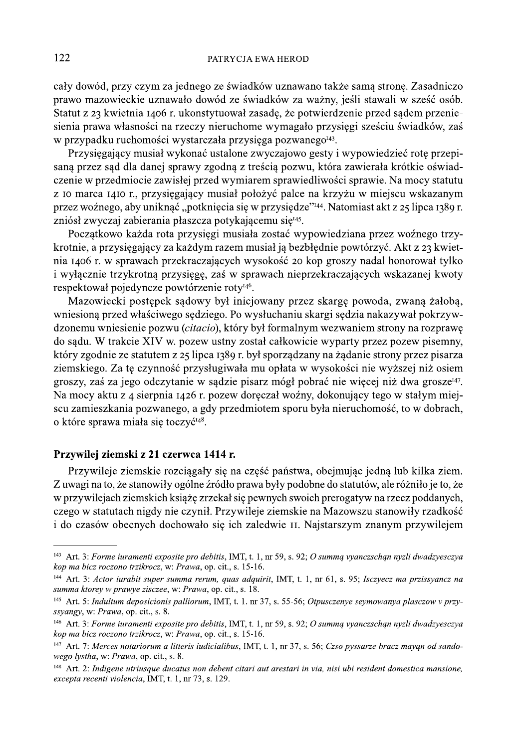cały dowód, przy czym za jednego ze świadków uznawano także samą stronę. Zasadniczo prawo mazowieckie uznawało dowód ze świadków za ważny, jeśli stawali w sześć osób. Statut z 23 kwietnia 1406 r. ukonstytuował zasade, że potwierdzenie przed sądem przeniesienia prawa własności na rzeczy nieruchome wymagało przysięgi sześciu świadków, zaś w przypadku ruchomości wystarczała przysięga pozwanego<sup>143</sup>.

Przysięgający musiał wykonać ustalone zwyczajowo gesty i wypowiedzieć rotę przepisaną przez sąd dla danej sprawy zgodną z treścią pozwu, która zawierała krótkie oświadczenie w przedmiocie zawisłej przed wymiarem sprawiedliwości sprawie. Na mocy statutu z 10 marca 1410 r., przysięgający musiał położyć palce na krzyżu w miejscu wskazanym przez woźnego, aby uniknąć "potknięcia się w przysiędze"<sup>144</sup>. Natomiast akt z 25 lipca 1389 r. zniósł zwyczaj zabierania płaszcza potykającemu się<sup>145</sup>.

Początkowo każda rota przysięgi musiała zostać wypowiedziana przez woźnego trzykrotnie, a przysięgający za każdym razem musiał ją bezbłędnie powtórzyć. Akt z 23 kwietnia 1406 r. w sprawach przekraczających wysokość 20 kop groszy nadal honorował tylko i wyłącznie trzykrotną przysięgę, zaś w sprawach nieprzekraczających wskazanej kwoty respektował pojedyncze powtórzenie roty<sup>146</sup>.

Mazowiecki postępek sądowy był inicjowany przez skargę powoda, zwaną żałobą, wniesioną przed właściwego sędziego. Po wysłuchaniu skargi sędzia nakazywał pokrzywdzonemu wniesienie pozwu (citacio), który był formalnym wezwaniem strony na rozprawę do sądu. W trakcie XIV w. pozew ustny został całkowicie wyparty przez pozew pisemny, który zgodnie ze statutem z 25 lipca 1389 r. był sporządzany na żądanie strony przez pisarza ziemskiego. Za te czynność przysługiwała mu opłata w wysokości nie wyższej niż osiem groszy, zaś za jego odczytanie w sądzie pisarz mógł pobrać nie więcej niż dwa grosze<sup>147</sup>. Na mocy aktu z 4 sierpnia 1426 r. pozew doręczał woźny, dokonujący tego w stałym miejscu zamieszkania pozwanego, a gdy przedmiotem sporu była nieruchomość, to w dobrach, o które sprawa miała się toczyć<sup>148</sup>.

#### Przywilej ziemski z 21 czerwca 1414 r.

Przywileje ziemskie rozciągały się na część państwa, obejmując jedną lub kilka ziem. Z uwagi na to, że stanowiły ogólne źródło prawa były podobne do statutów, ale różniło je to, że w przywilejąch ziemskich książę zrzekał się pewnych swoich prerogatyw na rzecz poddanych, czego w statutach nigdy nie czynił. Przywileje ziemskie na Mazowszu stanowiły rzadkość i do czasów obecnych dochowało się ich zaledwie II. Najstarszym znanym przywilejem

 $143$  Art. 3: Forme iuramenti exposite pro debitis, IMT, t. 1, nr 59, s. 92; O summa vyanczschan nyzli dwadzyesczya kop ma bicz roczono trzikrocz, w: Prawa, op. cit., s. 15-16.

<sup>&</sup>lt;sup>144</sup> Art. 3: Actor iurabit super summa rerum, quas adquirit, IMT, t. 1, nr 61, s. 95; Isczyecz ma przissyancz na summa ktorey w prawye zisczee, w: Prawa, op. cit., s. 18.

<sup>&</sup>lt;sup>145</sup> Art. 5: Indultum deposicionis palliorum, IMT, t. 1. nr 37, s. 55-56; Otpusczenye seymowanya plasczow v przyssyangy, w: Prawa, op. cit., s. 8.

<sup>&</sup>lt;sup>146</sup> Art. 3: Forme iuramenti exposite pro debitis, IMT, t. 1, nr 59, s. 92; O summa vyanczschan nyzli dwadzyesczya kop ma bicz roczono trzikrocz, w: Prawa, op. cit., s. 15-16.

<sup>&</sup>lt;sup>147</sup> Art. 7: Merces notariorum a litteris iudicialibus, IMT, t. 1, nr 37, s. 56; Czso pyssarze bracz mayan od sandowego lystha, w: Prawa, op. cit., s. 8.

<sup>&</sup>lt;sup>148</sup> Art. 2: Indigene utriusque ducatus non debent citari aut arestari in via, nisi ubi resident domestica mansione, excepta recenti violencia, IMT, t. 1, nr 73, s. 129.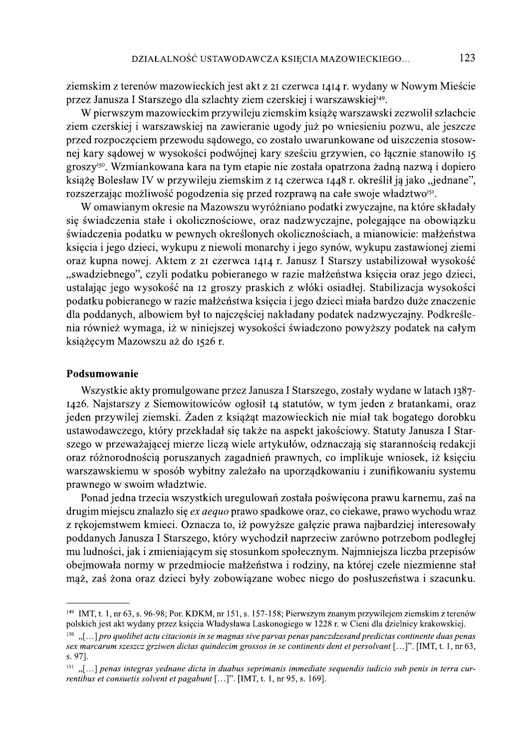ziemskim z terenów mazowieckich jest akt z 21 czerwca 1414 r. wydany w Nowym Mieście przez Janusza I Starszego dla szlachty ziem czerskiej i warszawskiej<sup>149</sup>.

W pierwszym mazowieckim przywileju ziemskim książę warszawski zezwolił szlachcie ziem czerskiej i warszawskiej na zawieranie ugody już po wniesieniu pozwu, ale jeszcze przed rozpoczęciem przewodu sądowego, co zostało uwarunkowane od uiszczenia stosownej kary sądowej w wysokości podwójnej kary sześciu grzywien, co łącznie stanowiło 15 groszy<sup>150</sup>. Wzmiankowana kara na tym etapie nie została opatrzona żadną nazwą i dopiero książę Bolesław IV w przywileju ziemskim z 14 czerwca 1448 r. określił ją jako "jednane". rozszerzając możliwość pogodzenia się przed rozprawą na całe swoje władztwo<sup>151</sup>.

W omawianym okresie na Mazowszu wyróżniano podatki zwyczajne, na które składały się świadczenia stałe i okolicznościowe, oraz nadzwyczajne, polegające na obowiązku świadczenia podatku w pewnych określonych okolicznościach, a mianowicie: małżeństwa księcia i jego dzieci, wykupu z niewoli monarchy i jego synów, wykupu zastawionej ziemi oraz kupna nowej. Aktem z 21 czerwca 1414 r. Janusz I Starszy ustabilizował wysokość "swadziebnego", czyli podatku pobieranego w razie małżeństwa księcia oraz jego dzieci, ustalając jego wysokość na 12 groszy praskich z włóki osiadłej. Stabilizacja wysokości podatku pobieranego w razie małżeństwa księcia i jego dzieci miała bardzo duże znaczenie dla poddanych, albowiem był to najczęściej nakładany podatek nadzwyczajny. Podkreślenia również wymaga, iż w niniejszej wysokości świadczono powyższy podatek na całym książęcym Mazowszu aż do 1526 r.

## Podsumowanie

Wszystkie akty promulgowane przez Janusza I Starszego, zostały wydane w latach 1387-1426. Naistarszy z Siemowitowiców ogłosił 14 statutów, w tym jeden z bratankami, oraz jeden przywilej ziemski. Żaden z książąt mazowieckich nie miał tak bogatego dorobku ustawodawczego, który przekładał się także na aspekt jakościowy. Statuty Janusza I Starszego w przeważającej mierze liczą wiele artykułów, odznaczają się starannością redakcji oraz różnorodnością poruszanych zagadnień prawnych, co implikuje wniosek, iż księciu warszawskiemu w sposób wybitny zależało na uporządkowaniu i zunifikowaniu systemu prawnego w swoim władztwie.

Ponad jedna trzecia wszystkich uregulowań została poświęcona prawu karnemu, zaś na drugim miejscu znalazło się *ex aequo* prawo spadkowe oraz, co ciekawe, prawo wychodu wraz z rękojemstwem kmieci. Oznacza to, iż powyższe gałęzie prawa najbardziej interesowały poddanych Janusza I Starszego, który wychodził naprzeciw zarówno potrzebom podległej mu ludności, jak i zmieniającym się stosunkom społecznym. Najmniejsza liczba przepisów obejmowała normy w przedmiocie małżeństwa i rodziny, na której czele niezmienne stał maż, zaś żona oraz dzieci były zobowiązane wobec niego do posłuszeństwa i szacunku.

<sup>&</sup>lt;sup>149</sup> IMT, t. 1, nr 63, s. 96-98; Por. KDKM, nr 151, s. 157-158; Pierwszym znanym przywilejem ziemskim z terenów polskich jest akt wydany przez księcia Władysława Laskonogiego w 1228 r. w Cieni dla dzielnicy krakowskiej.

<sup>&</sup>quot;[...] pro quolibet actu citacionis in se magnas sive parvas penas panczdzesand predictas continente duas penas sex marcarum szeszcz grziwen dictas quindecim grossos in se continents dent et persolvant [...]". [IMT, t. 1, nr 63, s. 97].

 $^{151}$  ....] penas integras vednane dicta in duabus seprimanis immediate sequendis iudicio sub penis in terra currentibus et consuetis solvent et pagabunt [...]". [IMT, t. 1, nr 95, s. 169].